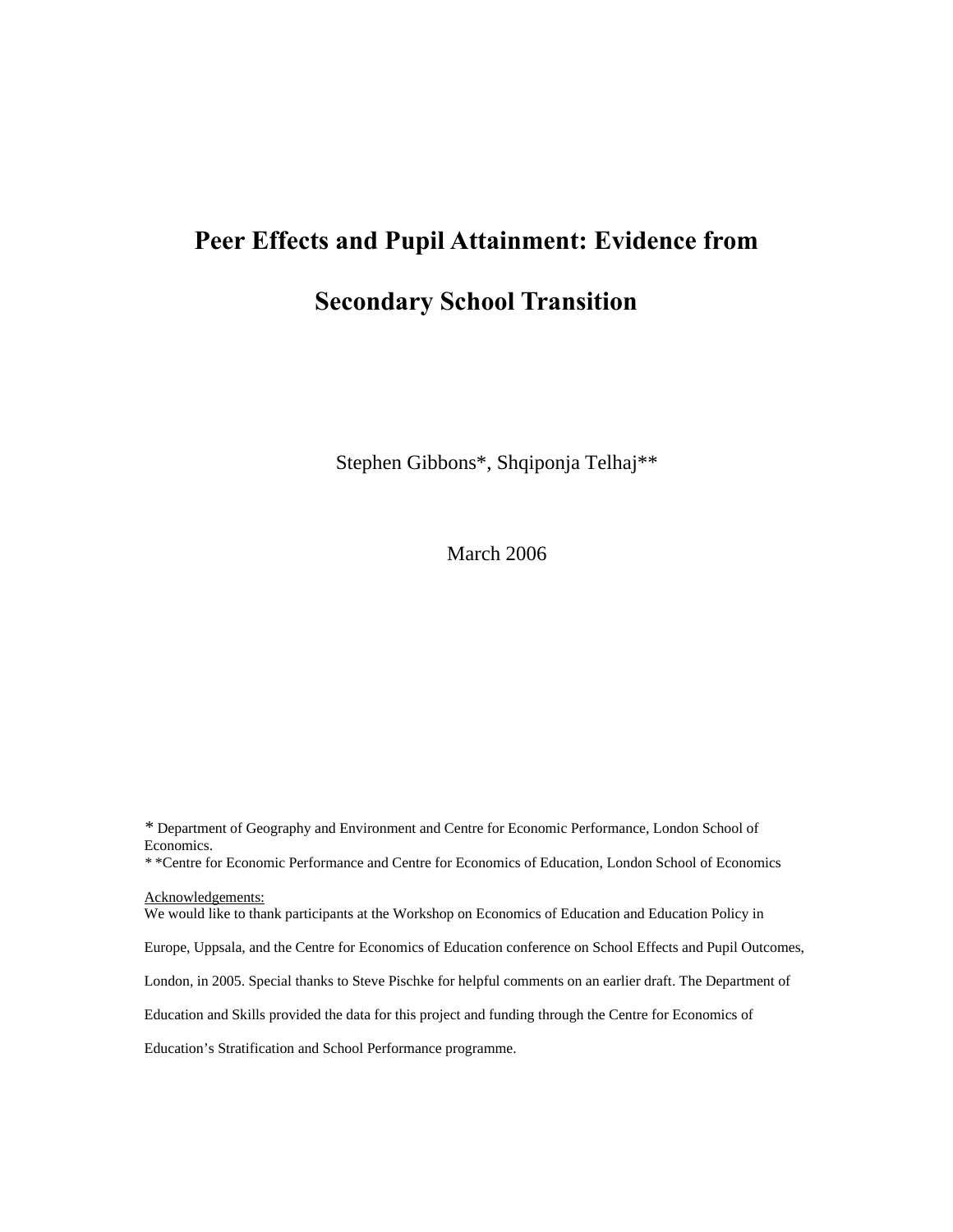# **Peer Effects and Pupil Attainment: Evidence from**

# **Secondary School Transition**

Stephen Gibbons\*, Shqiponja Telhaj\*\*

March 2006

*\** Department of Geography and Environment and Centre for Economic Performance, London School of Economics. *\** \*Centre for Economic Performance and Centre for Economics of Education, London School of Economics Acknowledgements: We would like to thank participants at the Workshop on Economics of Education and Education Policy in Europe, Uppsala, and the Centre for Economics of Education conference on School Effects and Pupil Outcomes, London, in 2005. Special thanks to Steve Pischke for helpful comments on an earlier draft. The Department of Education and Skills provided the data for this project and funding through the Centre for Economics of Education's Stratification and School Performance programme.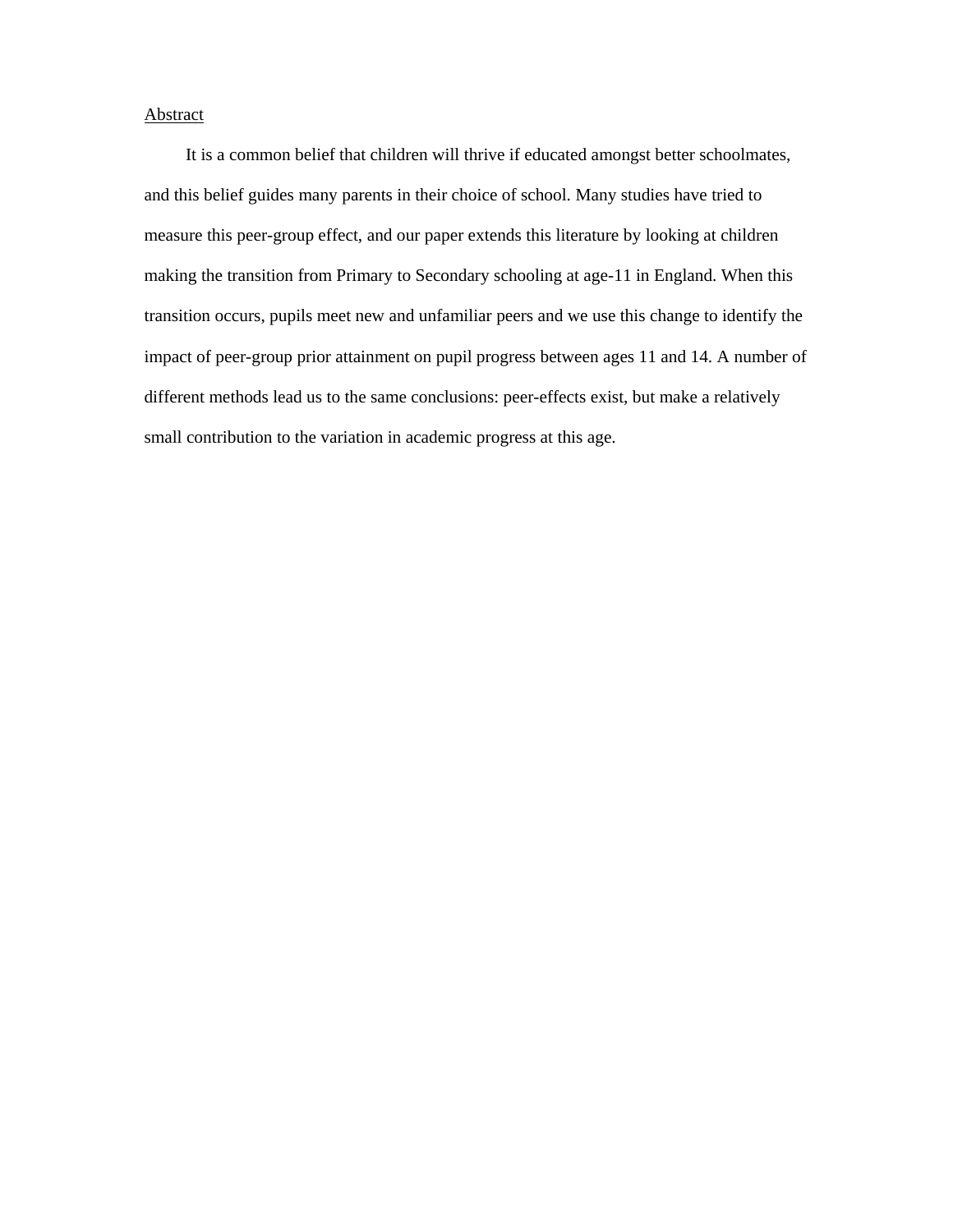# Abstract

It is a common belief that children will thrive if educated amongst better schoolmates, and this belief guides many parents in their choice of school. Many studies have tried to measure this peer-group effect, and our paper extends this literature by looking at children making the transition from Primary to Secondary schooling at age-11 in England. When this transition occurs, pupils meet new and unfamiliar peers and we use this change to identify the impact of peer-group prior attainment on pupil progress between ages 11 and 14. A number of different methods lead us to the same conclusions: peer-effects exist, but make a relatively small contribution to the variation in academic progress at this age.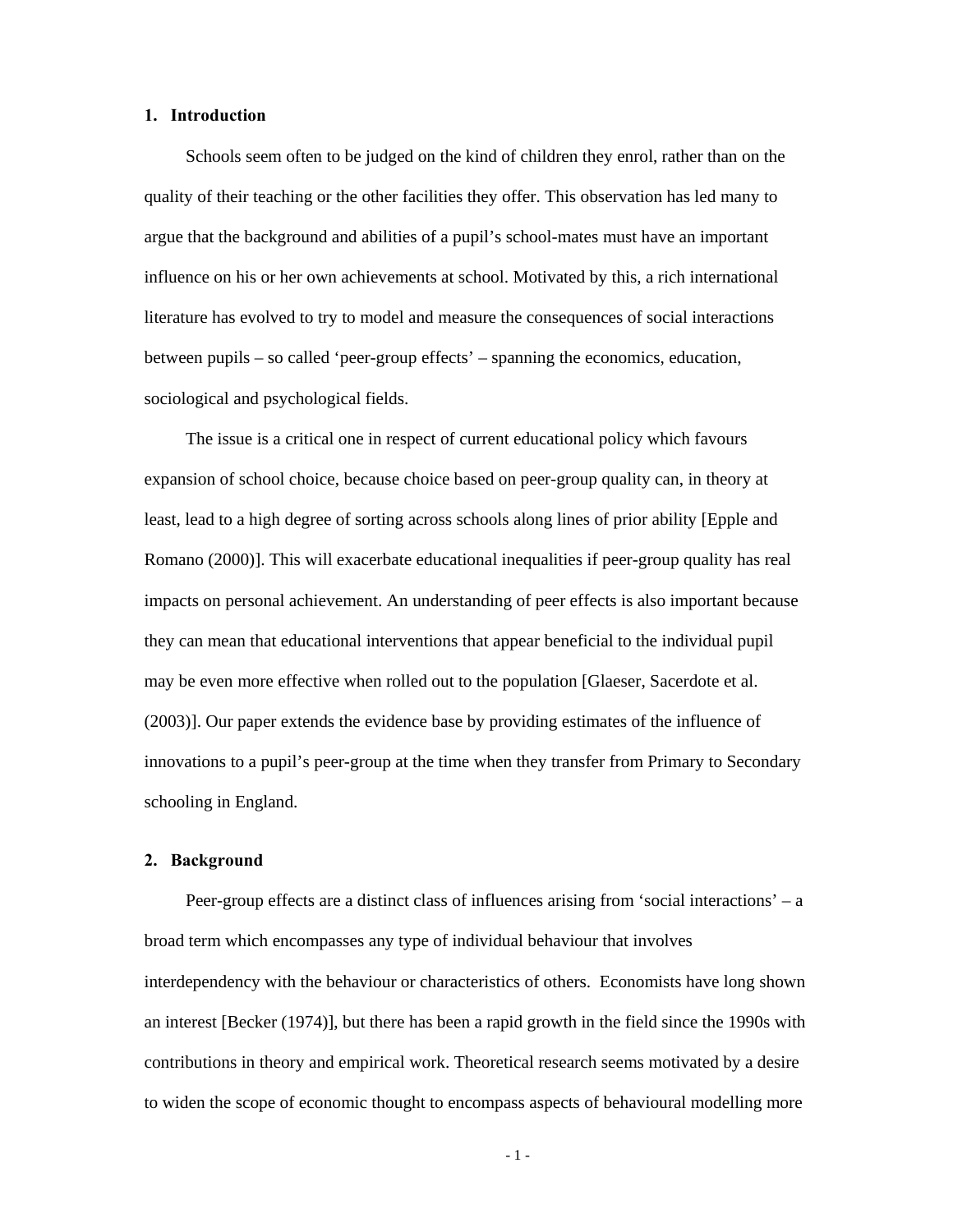# **1. Introduction**

Schools seem often to be judged on the kind of children they enrol, rather than on the quality of their teaching or the other facilities they offer. This observation has led many to argue that the background and abilities of a pupil's school-mates must have an important influence on his or her own achievements at school. Motivated by this, a rich international literature has evolved to try to model and measure the consequences of social interactions between pupils – so called 'peer-group effects' – spanning the economics, education, sociological and psychological fields.

The issue is a critical one in respect of current educational policy which favours expansion of school choice, because choice based on peer-group quality can, in theory at least, lead to a high degree of sorting across schools along lines of prior ability [Epple and Romano (2000)]. This will exacerbate educational inequalities if peer-group quality has real impacts on personal achievement. An understanding of peer effects is also important because they can mean that educational interventions that appear beneficial to the individual pupil may be even more effective when rolled out to the population [Glaeser, Sacerdote et al. (2003)]. Our paper extends the evidence base by providing estimates of the influence of innovations to a pupil's peer-group at the time when they transfer from Primary to Secondary schooling in England.

#### **2. Background**

Peer-group effects are a distinct class of influences arising from 'social interactions' – a broad term which encompasses any type of individual behaviour that involves interdependency with the behaviour or characteristics of others. Economists have long shown an interest [Becker (1974)], but there has been a rapid growth in the field since the 1990s with contributions in theory and empirical work. Theoretical research seems motivated by a desire to widen the scope of economic thought to encompass aspects of behavioural modelling more

- 1 -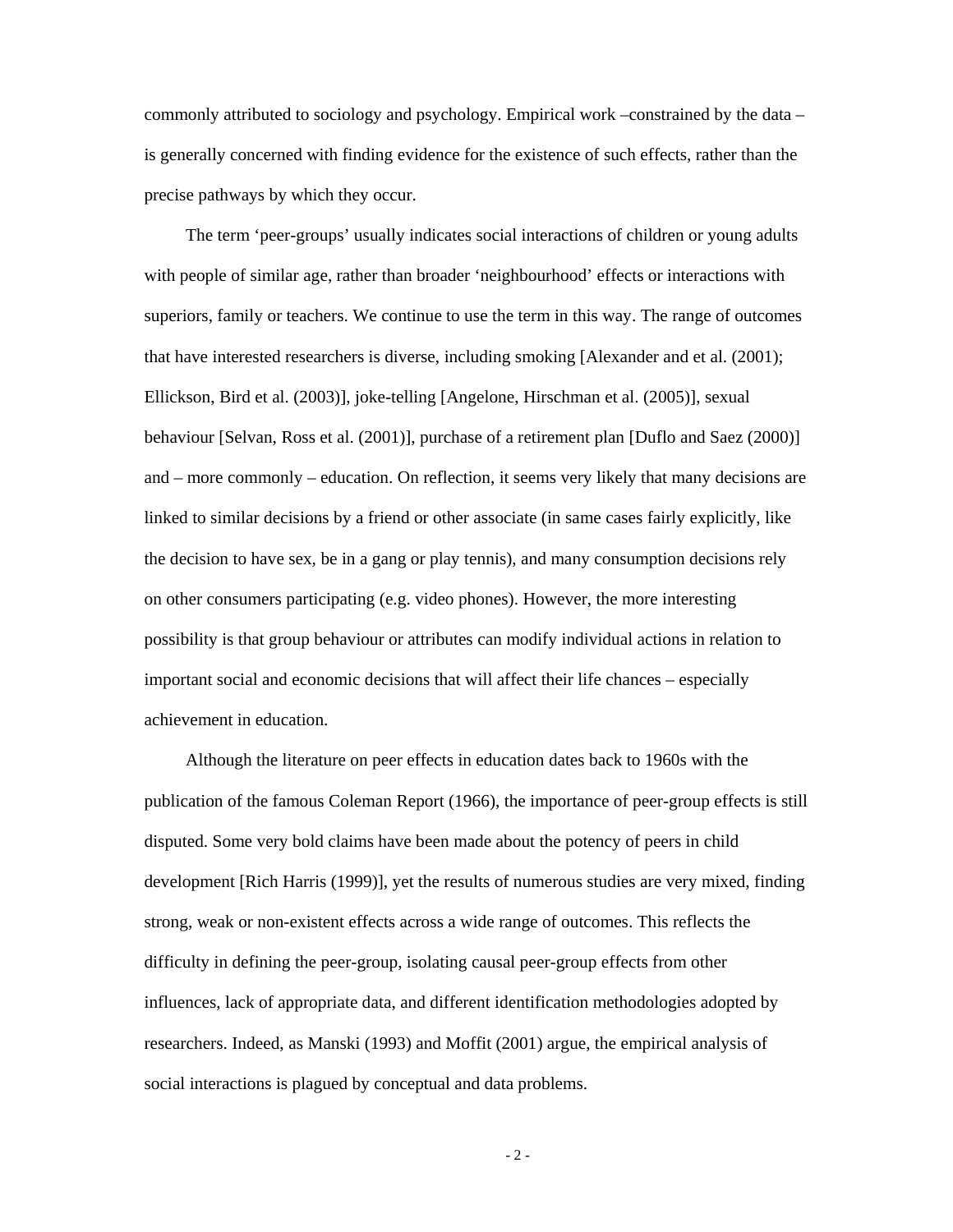commonly attributed to sociology and psychology. Empirical work –constrained by the data – is generally concerned with finding evidence for the existence of such effects, rather than the precise pathways by which they occur.

The term 'peer-groups' usually indicates social interactions of children or young adults with people of similar age, rather than broader 'neighbourhood' effects or interactions with superiors, family or teachers. We continue to use the term in this way. The range of outcomes that have interested researchers is diverse, including smoking [Alexander and et al. (2001); Ellickson, Bird et al. (2003)], joke-telling [Angelone, Hirschman et al. (2005)], sexual behaviour [Selvan, Ross et al. (2001)], purchase of a retirement plan [Duflo and Saez (2000)] and – more commonly – education. On reflection, it seems very likely that many decisions are linked to similar decisions by a friend or other associate (in same cases fairly explicitly, like the decision to have sex, be in a gang or play tennis), and many consumption decisions rely on other consumers participating (e.g. video phones). However, the more interesting possibility is that group behaviour or attributes can modify individual actions in relation to important social and economic decisions that will affect their life chances – especially achievement in education.

Although the literature on peer effects in education dates back to 1960s with the publication of the famous Coleman Report (1966), the importance of peer-group effects is still disputed. Some very bold claims have been made about the potency of peers in child development [Rich Harris (1999)], yet the results of numerous studies are very mixed, finding strong, weak or non-existent effects across a wide range of outcomes. This reflects the difficulty in defining the peer-group, isolating causal peer-group effects from other influences, lack of appropriate data, and different identification methodologies adopted by researchers. Indeed, as Manski (1993) and Moffit (2001) argue, the empirical analysis of social interactions is plagued by conceptual and data problems.

 $-2-$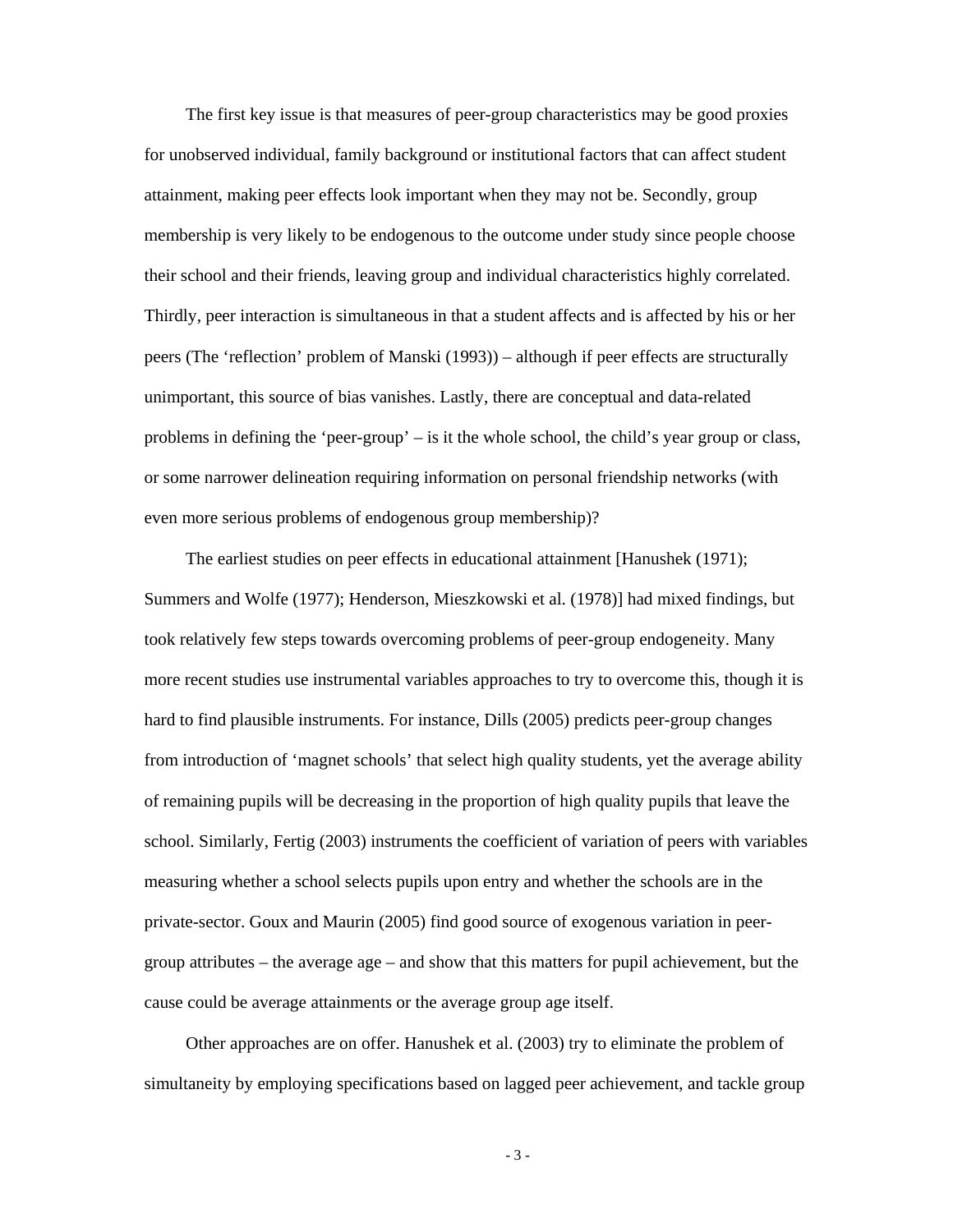The first key issue is that measures of peer-group characteristics may be good proxies for unobserved individual, family background or institutional factors that can affect student attainment, making peer effects look important when they may not be. Secondly, group membership is very likely to be endogenous to the outcome under study since people choose their school and their friends, leaving group and individual characteristics highly correlated. Thirdly, peer interaction is simultaneous in that a student affects and is affected by his or her peers (The 'reflection' problem of Manski (1993)) – although if peer effects are structurally unimportant, this source of bias vanishes. Lastly, there are conceptual and data-related problems in defining the 'peer-group' – is it the whole school, the child's year group or class, or some narrower delineation requiring information on personal friendship networks (with even more serious problems of endogenous group membership)?

The earliest studies on peer effects in educational attainment [Hanushek (1971); Summers and Wolfe (1977); Henderson, Mieszkowski et al. (1978)] had mixed findings, but took relatively few steps towards overcoming problems of peer-group endogeneity. Many more recent studies use instrumental variables approaches to try to overcome this, though it is hard to find plausible instruments. For instance, Dills (2005) predicts peer-group changes from introduction of 'magnet schools' that select high quality students, yet the average ability of remaining pupils will be decreasing in the proportion of high quality pupils that leave the school. Similarly, Fertig (2003) instruments the coefficient of variation of peers with variables measuring whether a school selects pupils upon entry and whether the schools are in the private-sector. Goux and Maurin (2005) find good source of exogenous variation in peergroup attributes – the average age – and show that this matters for pupil achievement, but the cause could be average attainments or the average group age itself.

Other approaches are on offer. Hanushek et al. (2003) try to eliminate the problem of simultaneity by employing specifications based on lagged peer achievement, and tackle group

- 3 -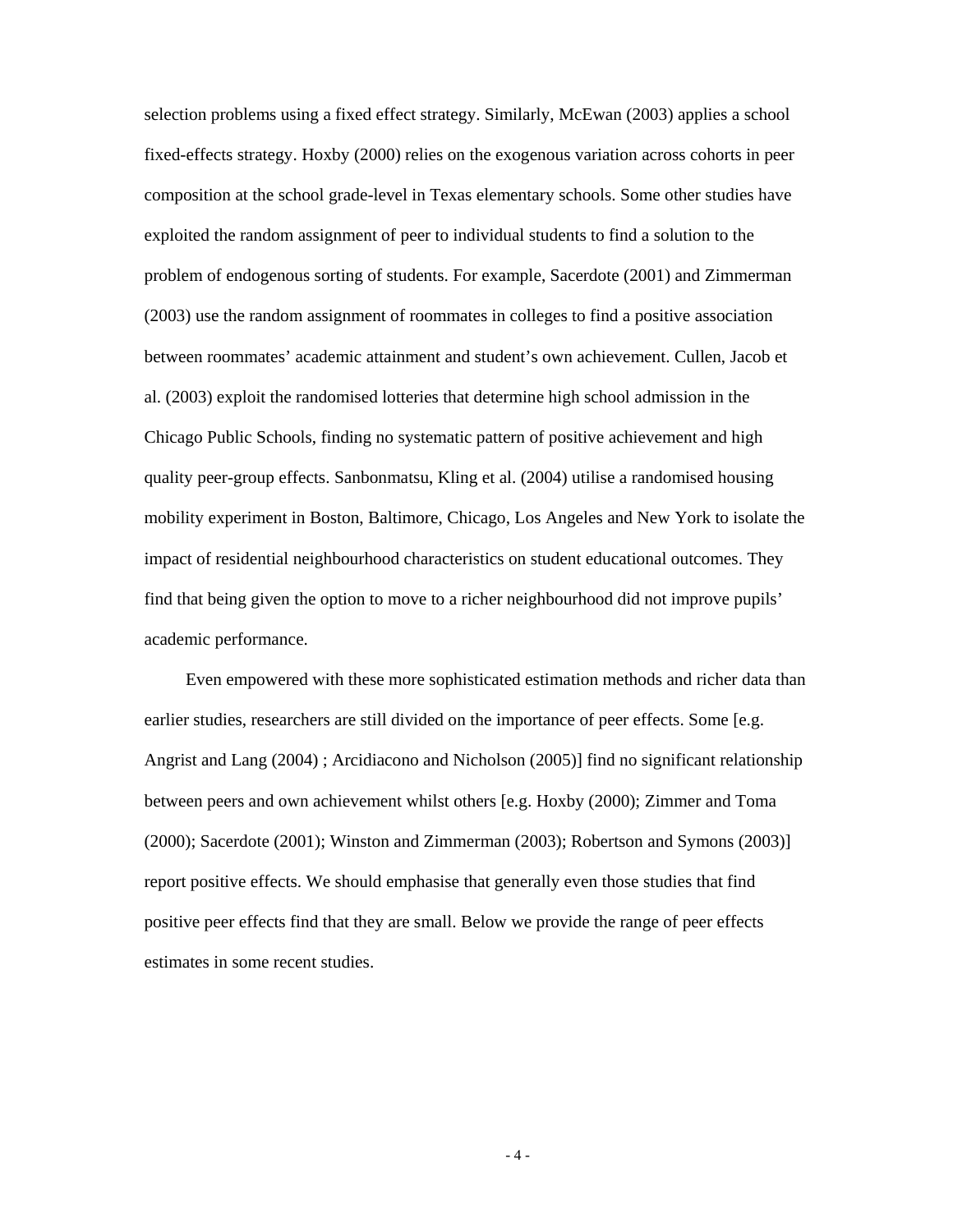selection problems using a fixed effect strategy. Similarly, McEwan (2003) applies a school fixed-effects strategy. Hoxby (2000) relies on the exogenous variation across cohorts in peer composition at the school grade-level in Texas elementary schools. Some other studies have exploited the random assignment of peer to individual students to find a solution to the problem of endogenous sorting of students. For example, Sacerdote (2001) and Zimmerman (2003) use the random assignment of roommates in colleges to find a positive association between roommates' academic attainment and student's own achievement. Cullen, Jacob et al. (2003) exploit the randomised lotteries that determine high school admission in the Chicago Public Schools, finding no systematic pattern of positive achievement and high quality peer-group effects. Sanbonmatsu, Kling et al. (2004) utilise a randomised housing mobility experiment in Boston, Baltimore, Chicago, Los Angeles and New York to isolate the impact of residential neighbourhood characteristics on student educational outcomes. They find that being given the option to move to a richer neighbourhood did not improve pupils' academic performance.

Even empowered with these more sophisticated estimation methods and richer data than earlier studies, researchers are still divided on the importance of peer effects. Some [e.g. Angrist and Lang (2004) ; Arcidiacono and Nicholson (2005)] find no significant relationship between peers and own achievement whilst others [e.g. Hoxby (2000); Zimmer and Toma (2000); Sacerdote (2001); Winston and Zimmerman (2003); Robertson and Symons (2003)] report positive effects. We should emphasise that generally even those studies that find positive peer effects find that they are small. Below we provide the range of peer effects estimates in some recent studies.

- 4 -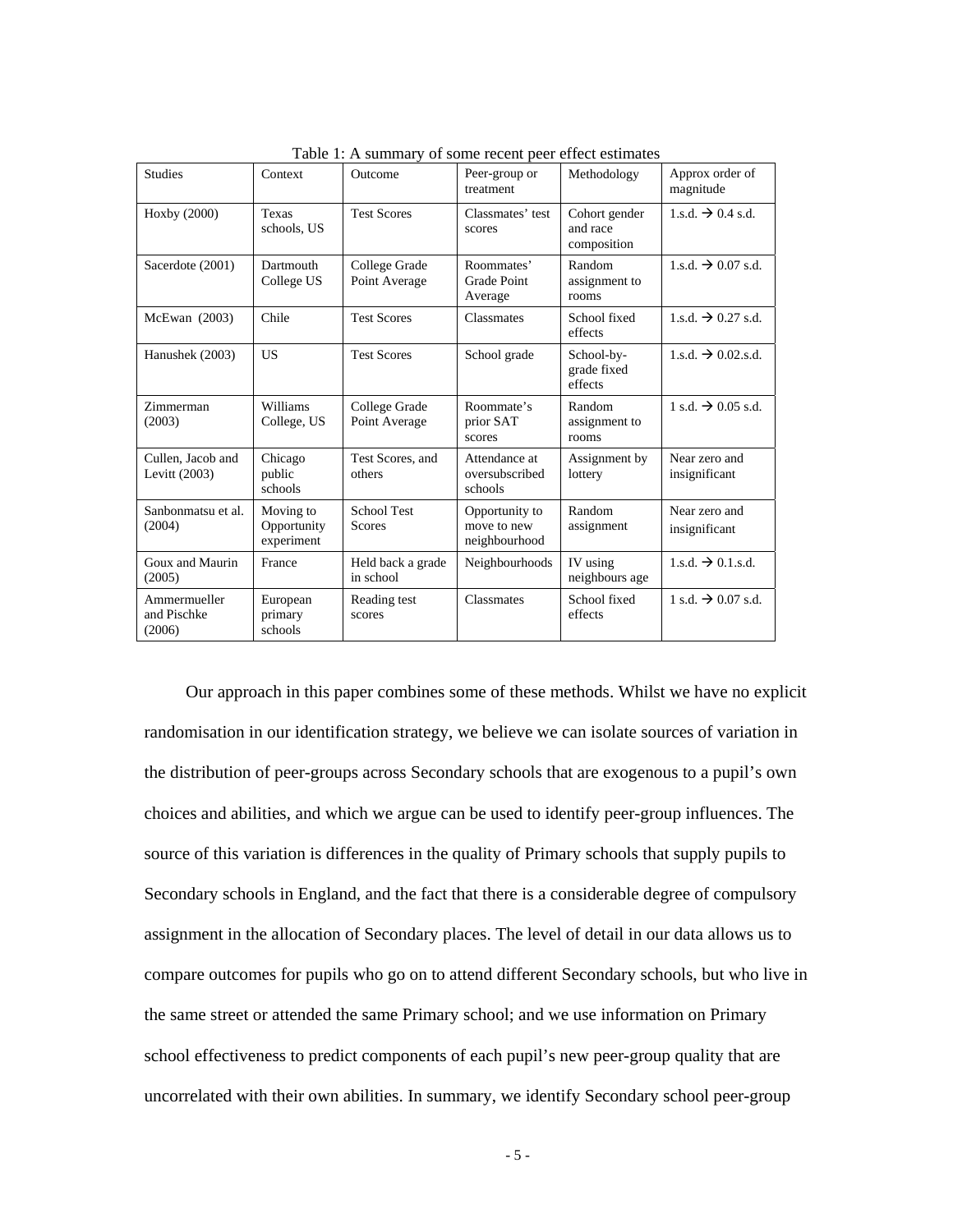| <b>Studies</b>                        | Context                                | Outcome                        | Peer-group or<br>treatment                     | Methodology                              | Approx order of<br>magnitude   |
|---------------------------------------|----------------------------------------|--------------------------------|------------------------------------------------|------------------------------------------|--------------------------------|
| Hoxby (2000)                          | Texas<br>schools, US                   | <b>Test Scores</b>             | Classmates' test<br>scores                     | Cohort gender<br>and race<br>composition | 1.s.d. $\rightarrow$ 0.4 s.d.  |
| Sacerdote (2001)                      | Dartmouth<br>College US                | College Grade<br>Point Average | Roommates'<br>Grade Point<br>Average           | Random<br>assignment to<br>rooms         | 1.s.d. $\rightarrow$ 0.07 s.d. |
| $McEwan$ (2003)                       | Chile                                  | <b>Test Scores</b>             | Classmates                                     | School fixed<br>effects                  | 1.s.d. $\Rightarrow$ 0.27 s.d. |
| Hanushek (2003)                       | US.                                    | <b>Test Scores</b>             | School grade                                   | School-by-<br>grade fixed<br>effects     | 1.s.d. $\rightarrow$ 0.02.s.d. |
| Zimmerman<br>(2003)                   | Williams<br>College, US                | College Grade<br>Point Average | Roommate's<br>prior SAT<br>scores              | Random<br>assignment to<br>rooms         | $1 s.d. \rightarrow 0.05 s.d.$ |
| Cullen, Jacob and<br>Levitt (2003)    | Chicago<br>public<br>schools           | Test Scores, and<br>others     | Attendance at<br>oversubscribed<br>schools     | Assignment by<br>lottery                 | Near zero and<br>insignificant |
| Sanbonmatsu et al.<br>(2004)          | Moving to<br>Opportunity<br>experiment | <b>School Test</b><br>Scores   | Opportunity to<br>move to new<br>neighbourhood | Random<br>assignment                     | Near zero and<br>insignificant |
| Goux and Maurin<br>(2005)             | France                                 | Held back a grade<br>in school | Neighbourhoods                                 | IV using<br>neighbours age               | 1.s.d. $\rightarrow$ 0.1.s.d.  |
| Ammermueller<br>and Pischke<br>(2006) | European<br>primary<br>schools         | Reading test<br>scores         | Classmates                                     | School fixed<br>effects                  | 1 s.d. $\rightarrow$ 0.07 s.d. |

Table 1: A summary of some recent peer effect estimates

Our approach in this paper combines some of these methods. Whilst we have no explicit randomisation in our identification strategy, we believe we can isolate sources of variation in the distribution of peer-groups across Secondary schools that are exogenous to a pupil's own choices and abilities, and which we argue can be used to identify peer-group influences. The source of this variation is differences in the quality of Primary schools that supply pupils to Secondary schools in England, and the fact that there is a considerable degree of compulsory assignment in the allocation of Secondary places. The level of detail in our data allows us to compare outcomes for pupils who go on to attend different Secondary schools, but who live in the same street or attended the same Primary school; and we use information on Primary school effectiveness to predict components of each pupil's new peer-group quality that are uncorrelated with their own abilities. In summary, we identify Secondary school peer-group

- 5 -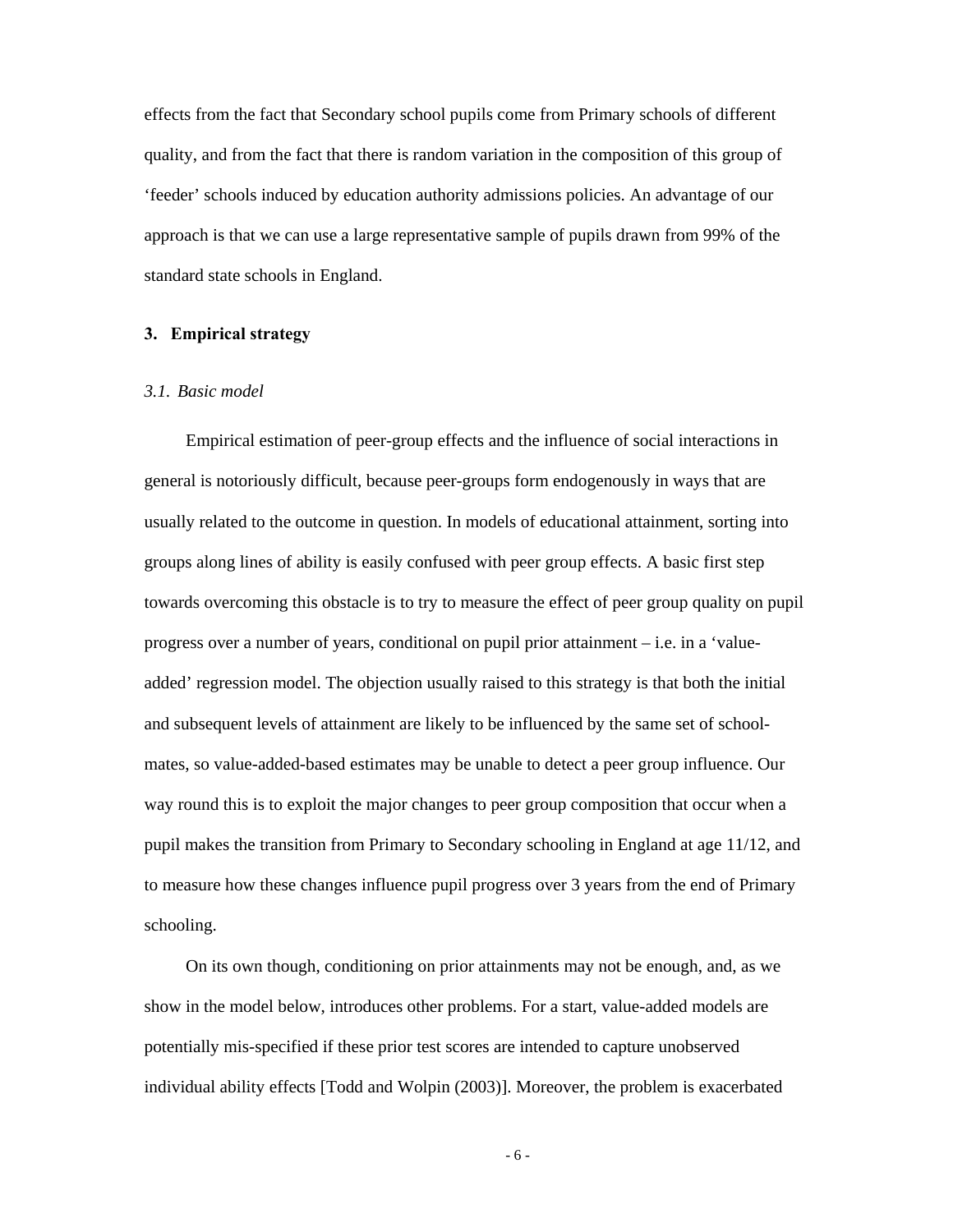effects from the fact that Secondary school pupils come from Primary schools of different quality, and from the fact that there is random variation in the composition of this group of 'feeder' schools induced by education authority admissions policies. An advantage of our approach is that we can use a large representative sample of pupils drawn from 99% of the standard state schools in England.

# **3. Empirical strategy**

#### *3.1. Basic model*

Empirical estimation of peer-group effects and the influence of social interactions in general is notoriously difficult, because peer-groups form endogenously in ways that are usually related to the outcome in question. In models of educational attainment, sorting into groups along lines of ability is easily confused with peer group effects. A basic first step towards overcoming this obstacle is to try to measure the effect of peer group quality on pupil progress over a number of years, conditional on pupil prior attainment – i.e. in a 'valueadded' regression model. The objection usually raised to this strategy is that both the initial and subsequent levels of attainment are likely to be influenced by the same set of schoolmates, so value-added-based estimates may be unable to detect a peer group influence. Our way round this is to exploit the major changes to peer group composition that occur when a pupil makes the transition from Primary to Secondary schooling in England at age 11/12, and to measure how these changes influence pupil progress over 3 years from the end of Primary schooling.

On its own though, conditioning on prior attainments may not be enough, and, as we show in the model below, introduces other problems. For a start, value-added models are potentially mis-specified if these prior test scores are intended to capture unobserved individual ability effects [Todd and Wolpin (2003)]. Moreover, the problem is exacerbated

- 6 -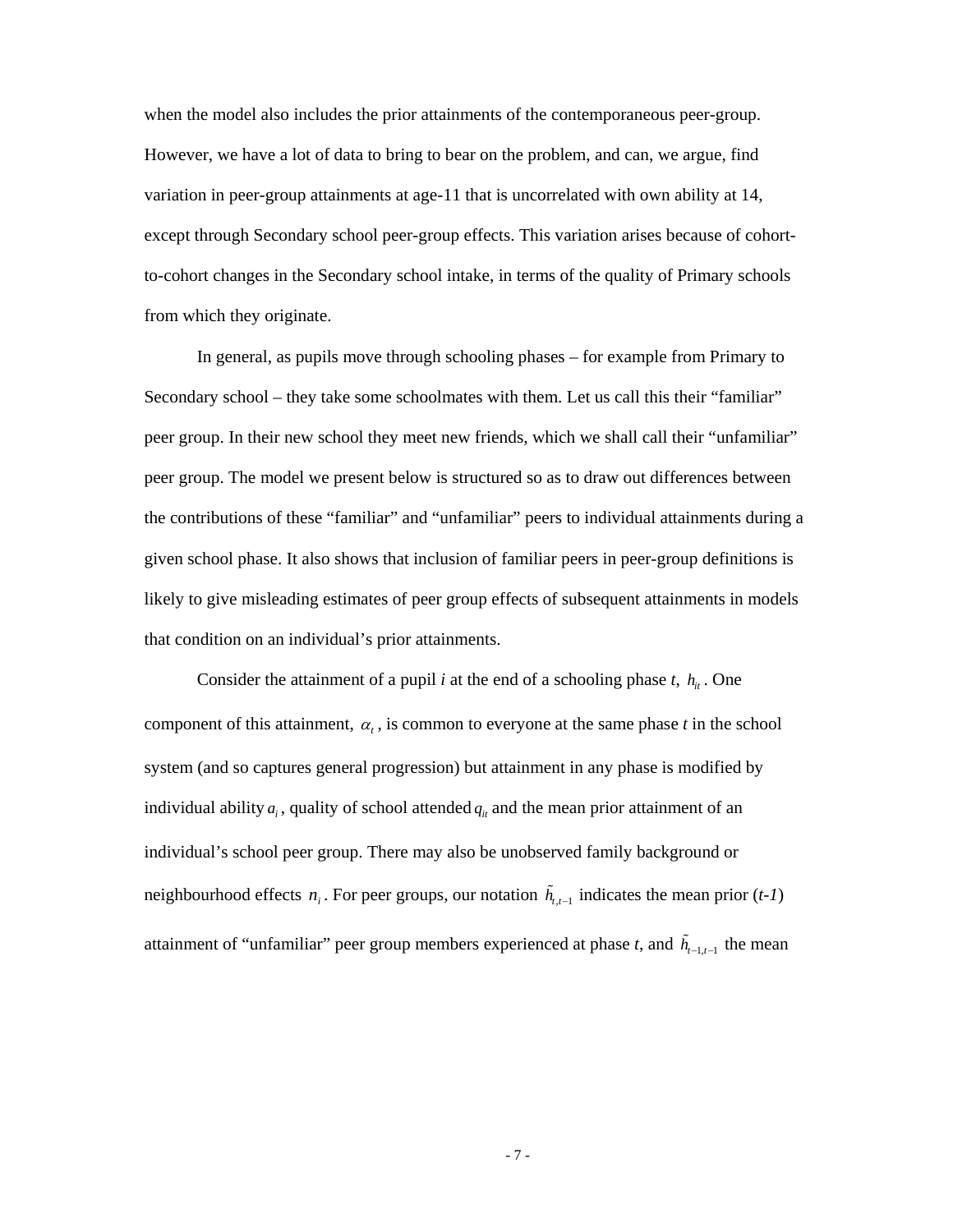when the model also includes the prior attainments of the contemporaneous peer-group. However, we have a lot of data to bring to bear on the problem, and can, we argue, find variation in peer-group attainments at age-11 that is uncorrelated with own ability at 14, except through Secondary school peer-group effects. This variation arises because of cohortto-cohort changes in the Secondary school intake, in terms of the quality of Primary schools from which they originate.

In general, as pupils move through schooling phases – for example from Primary to Secondary school – they take some schoolmates with them. Let us call this their "familiar" peer group. In their new school they meet new friends, which we shall call their "unfamiliar" peer group. The model we present below is structured so as to draw out differences between the contributions of these "familiar" and "unfamiliar" peers to individual attainments during a given school phase. It also shows that inclusion of familiar peers in peer-group definitions is likely to give misleading estimates of peer group effects of subsequent attainments in models that condition on an individual's prior attainments.

Consider the attainment of a pupil *i* at the end of a schooling phase  $t$ ,  $h_{it}$ . One component of this attainment,  $\alpha_t$ , is common to everyone at the same phase *t* in the school system (and so captures general progression) but attainment in any phase is modified by individual ability  $a_i$ , quality of school attended  $q_i$  and the mean prior attainment of an individual's school peer group. There may also be unobserved family background or neighbourhood effects *n<sub>i</sub>*. For peer groups, our notation  $\tilde{h}_{t,t-1}$  indicates the mean prior (*t-1*) attainment of "unfamiliar" peer group members experienced at phase *t*, and  $\tilde{h}_{t-1,t-1}$  the mean

- 7 -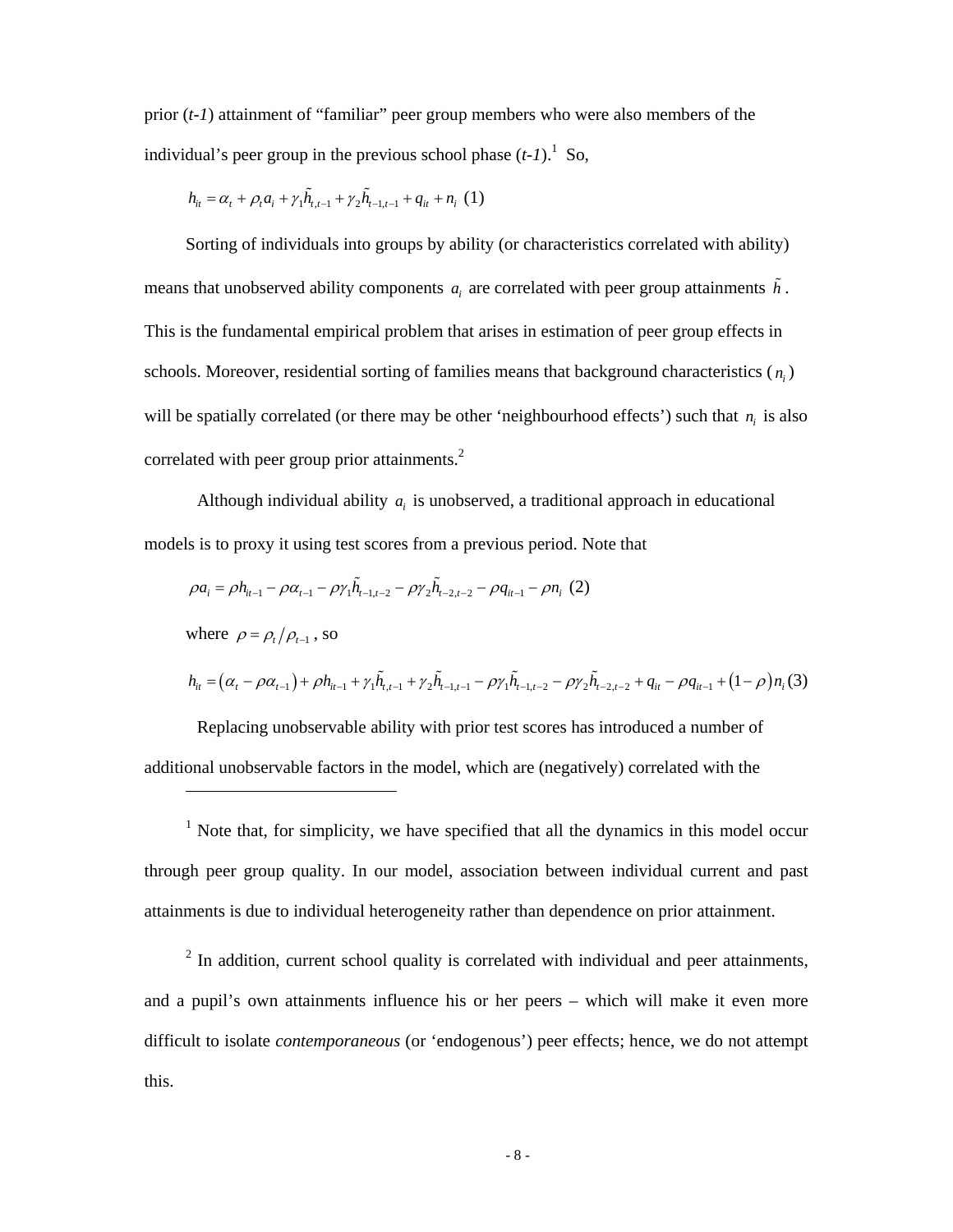prior (*t-1*) attainment of "familiar" peer group members who were also members of the individual's peer group in the previous school phase  $(t-1)$ .<sup>1</sup> So,

$$
h_{it} = \alpha_t + \rho_t a_i + \gamma_1 \tilde{h}_{t,t-1} + \gamma_2 \tilde{h}_{t-1,t-1} + q_{it} + n_i \tag{1}
$$

 $\overline{a}$ 

Sorting of individuals into groups by ability (or characteristics correlated with ability) means that unobserved ability components  $a_i$  are correlated with peer group attainments  $\tilde{h}$ . This is the fundamental empirical problem that arises in estimation of peer group effects in schools. Moreover, residential sorting of families means that background characteristics  $(n_i)$ will be spatially correlated (or there may be other 'neighbourhood effects') such that  $n_i$  is also correlated with peer group prior attainments.<sup>2</sup>

Although individual ability  $a_i$  is unobserved, a traditional approach in educational models is to proxy it using test scores from a previous period. Note that

$$
\rho a_i = \rho h_{i-1} - \rho \alpha_{i-1} - \rho \gamma_1 \tilde{h}_{i-1,t-2} - \rho \gamma_2 \tilde{h}_{i-2,t-2} - \rho q_{i-1} - \rho n_i (2)
$$
\nwhere  $\rho = \rho_i / \rho_{i-1}$ , so\n
$$
h_{it} = (\alpha_t - \rho \alpha_{t-1}) + \rho h_{i-1} + \gamma_1 \tilde{h}_{i,t-1} + \gamma_2 \tilde{h}_{i-1,t-1} - \rho \gamma_1 \tilde{h}_{i-1,t-2} - \rho \gamma_2 \tilde{h}_{i-2,t-2} + q_{it} - \rho q_{it-1} + (1 - \rho) n_i (3)
$$

Replacing unobservable ability with prior test scores has introduced a number of additional unobservable factors in the model, which are (negatively) correlated with the

 $<sup>1</sup>$  Note that, for simplicity, we have specified that all the dynamics in this model occur</sup> through peer group quality. In our model, association between individual current and past attainments is due to individual heterogeneity rather than dependence on prior attainment.

 $2$  In addition, current school quality is correlated with individual and peer attainments, and a pupil's own attainments influence his or her peers – which will make it even more difficult to isolate *contemporaneous* (or 'endogenous') peer effects; hence, we do not attempt this.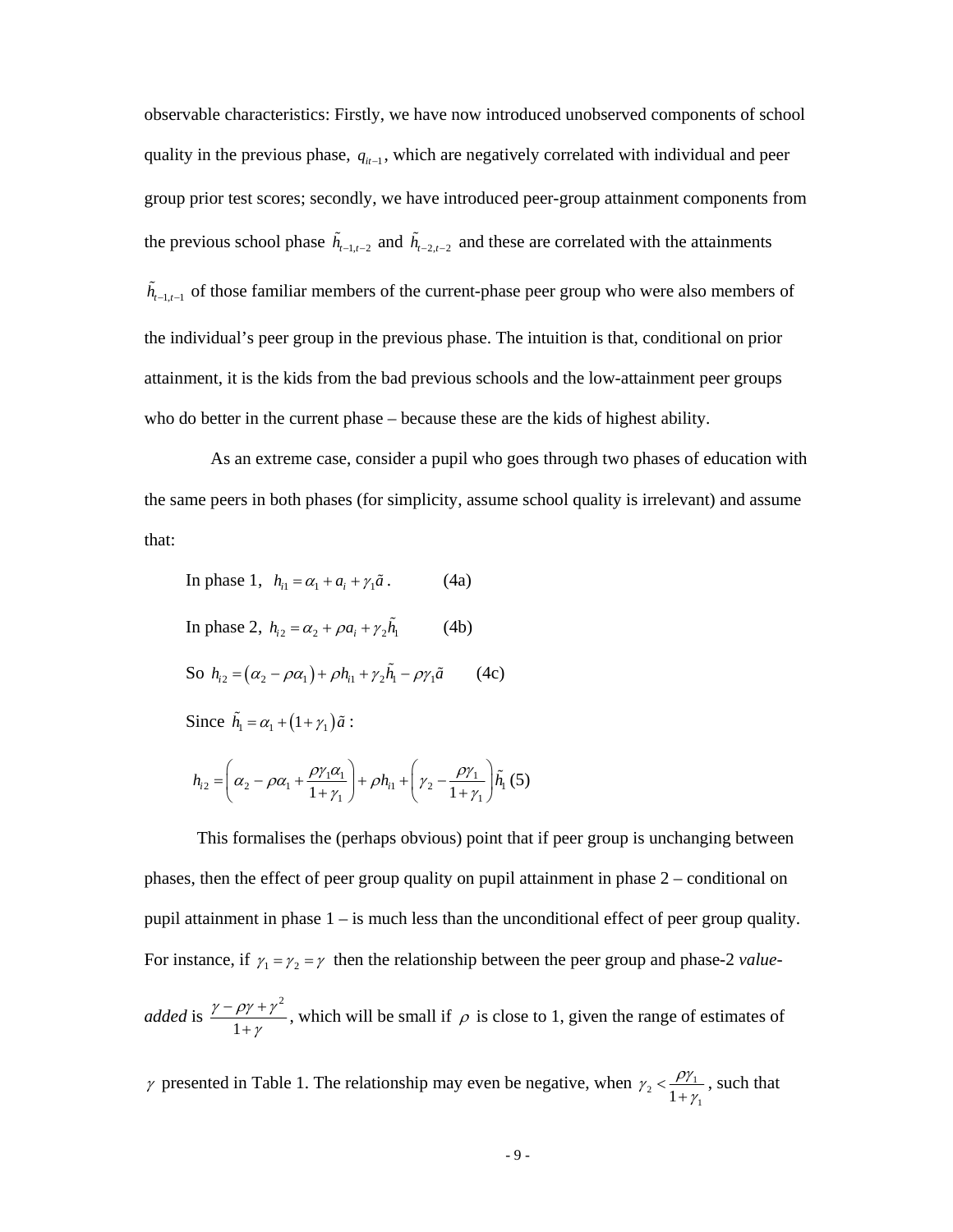observable characteristics: Firstly, we have now introduced unobserved components of school quality in the previous phase,  $q_{it-1}$ , which are negatively correlated with individual and peer group prior test scores; secondly, we have introduced peer-group attainment components from the previous school phase  $\tilde{h}_{t-1,t-2}$  and  $\tilde{h}_{t-2,t-2}$  and these are correlated with the attainments  $\tilde{h}_{t-1,t-1}$  of those familiar members of the current-phase peer group who were also members of the individual's peer group in the previous phase. The intuition is that, conditional on prior attainment, it is the kids from the bad previous schools and the low-attainment peer groups who do better in the current phase – because these are the kids of highest ability.

 As an extreme case, consider a pupil who goes through two phases of education with the same peers in both phases (for simplicity, assume school quality is irrelevant) and assume that:

In phase 1, 
$$
h_{i1} = \alpha_1 + a_i + \gamma_1 \tilde{a}
$$
. (4a)  
\nIn phase 2,  $h_{i2} = \alpha_2 + \rho a_i + \gamma_2 \tilde{h}_1$  (4b)  
\nSo  $h_{i2} = (\alpha_2 - \rho \alpha_1) + \rho h_{i1} + \gamma_2 \tilde{h}_1 - \rho \gamma_1 \tilde{a}$  (4c)  
\nSince  $\tilde{h}_1 = \alpha_1 + (1 + \gamma_1) \tilde{a}$ :  
\n $h_{i2} = \left(\alpha_2 - \rho \alpha_1 + \frac{\rho \gamma_1 \alpha_1}{1 + \gamma_1}\right) + \rho h_{i1} + \left(\gamma_2 - \frac{\rho \gamma_1}{1 + \gamma_1}\right) \tilde{h}_1$  (5)

This formalises the (perhaps obvious) point that if peer group is unchanging between phases, then the effect of peer group quality on pupil attainment in phase 2 – conditional on pupil attainment in phase  $1 -$  is much less than the unconditional effect of peer group quality. For instance, if  $\gamma_1 = \gamma_2 = \gamma$  then the relationship between the peer group and phase-2 *value-*

*added* is  $\frac{\gamma - \rho \gamma + \gamma^2}{1 + \gamma}$  $\gamma - \rho \gamma + \gamma$ γ  $-\rho \gamma +$  $\frac{\gamma + \gamma}{\gamma + \gamma}$ , which will be small if  $\rho$  is close to 1, given the range of estimates of

 $\gamma$  presented in Table 1. The relationship may even be negative, when  $\gamma_2 < \frac{\rho \gamma_1}{1 + \gamma_1}$  $\gamma_2 < \frac{\rho \gamma}{\rho}$ γ  $\prec$  $\frac{\nu_{\gamma_1}}{\nu_{\gamma_1}}$ , such that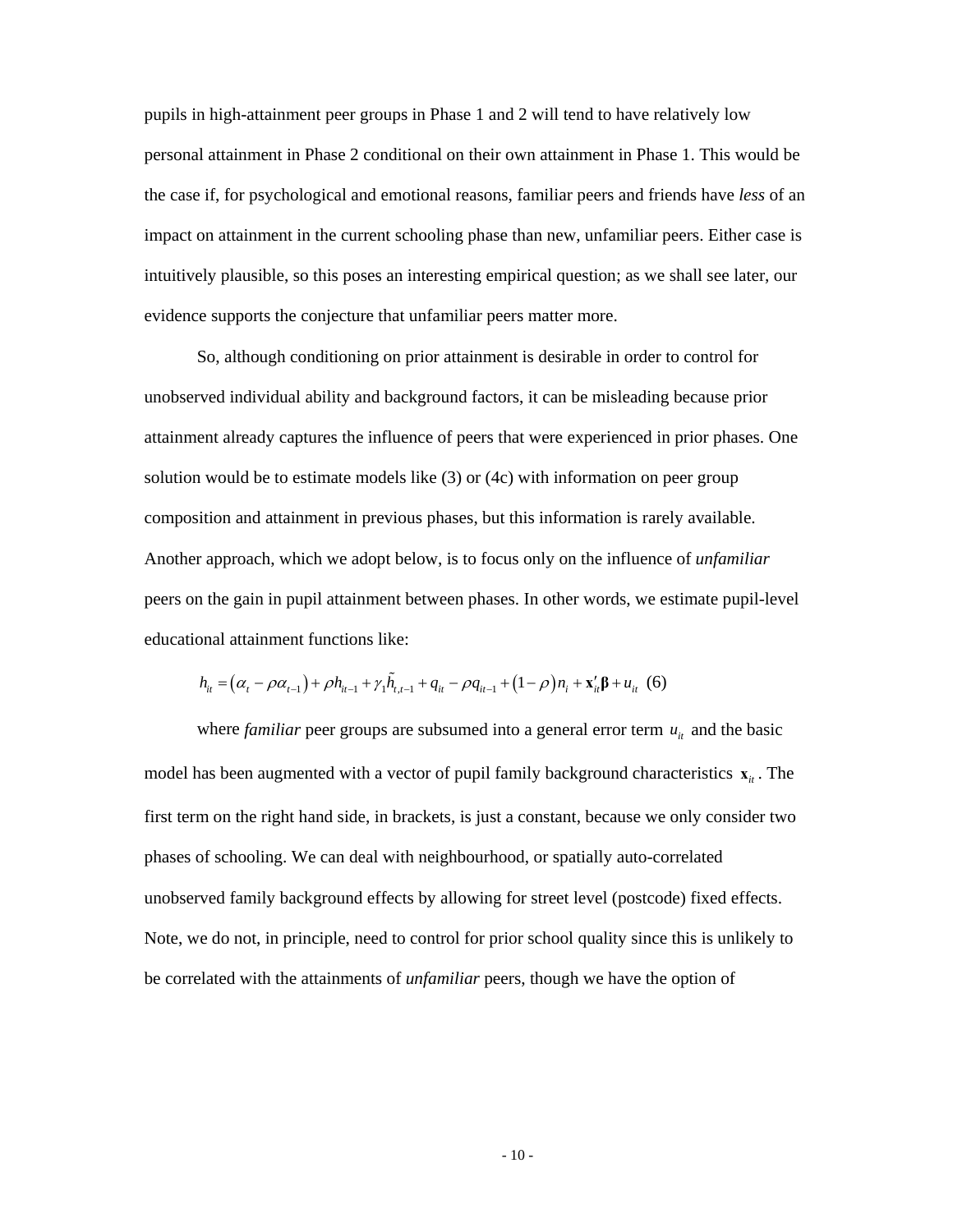pupils in high-attainment peer groups in Phase 1 and 2 will tend to have relatively low personal attainment in Phase 2 conditional on their own attainment in Phase 1. This would be the case if, for psychological and emotional reasons, familiar peers and friends have *less* of an impact on attainment in the current schooling phase than new, unfamiliar peers. Either case is intuitively plausible, so this poses an interesting empirical question; as we shall see later, our evidence supports the conjecture that unfamiliar peers matter more.

So, although conditioning on prior attainment is desirable in order to control for unobserved individual ability and background factors, it can be misleading because prior attainment already captures the influence of peers that were experienced in prior phases. One solution would be to estimate models like (3) or (4c) with information on peer group composition and attainment in previous phases, but this information is rarely available. Another approach, which we adopt below, is to focus only on the influence of *unfamiliar* peers on the gain in pupil attainment between phases. In other words, we estimate pupil-level educational attainment functions like:

$$
h_{it} = (\alpha_t - \rho \alpha_{t-1}) + \rho h_{it-1} + \gamma_1 \tilde{h}_{t,t-1} + q_{it} - \rho q_{it-1} + (1 - \rho) n_i + \mathbf{x}_{it}' \mathbf{\beta} + u_{it} \quad (6)
$$

where *familiar* peer groups are subsumed into a general error term  $u_{it}$  and the basic model has been augmented with a vector of pupil family background characteristics  $\mathbf{x}_i$ . The first term on the right hand side, in brackets, is just a constant, because we only consider two phases of schooling. We can deal with neighbourhood, or spatially auto-correlated unobserved family background effects by allowing for street level (postcode) fixed effects. Note, we do not, in principle, need to control for prior school quality since this is unlikely to be correlated with the attainments of *unfamiliar* peers, though we have the option of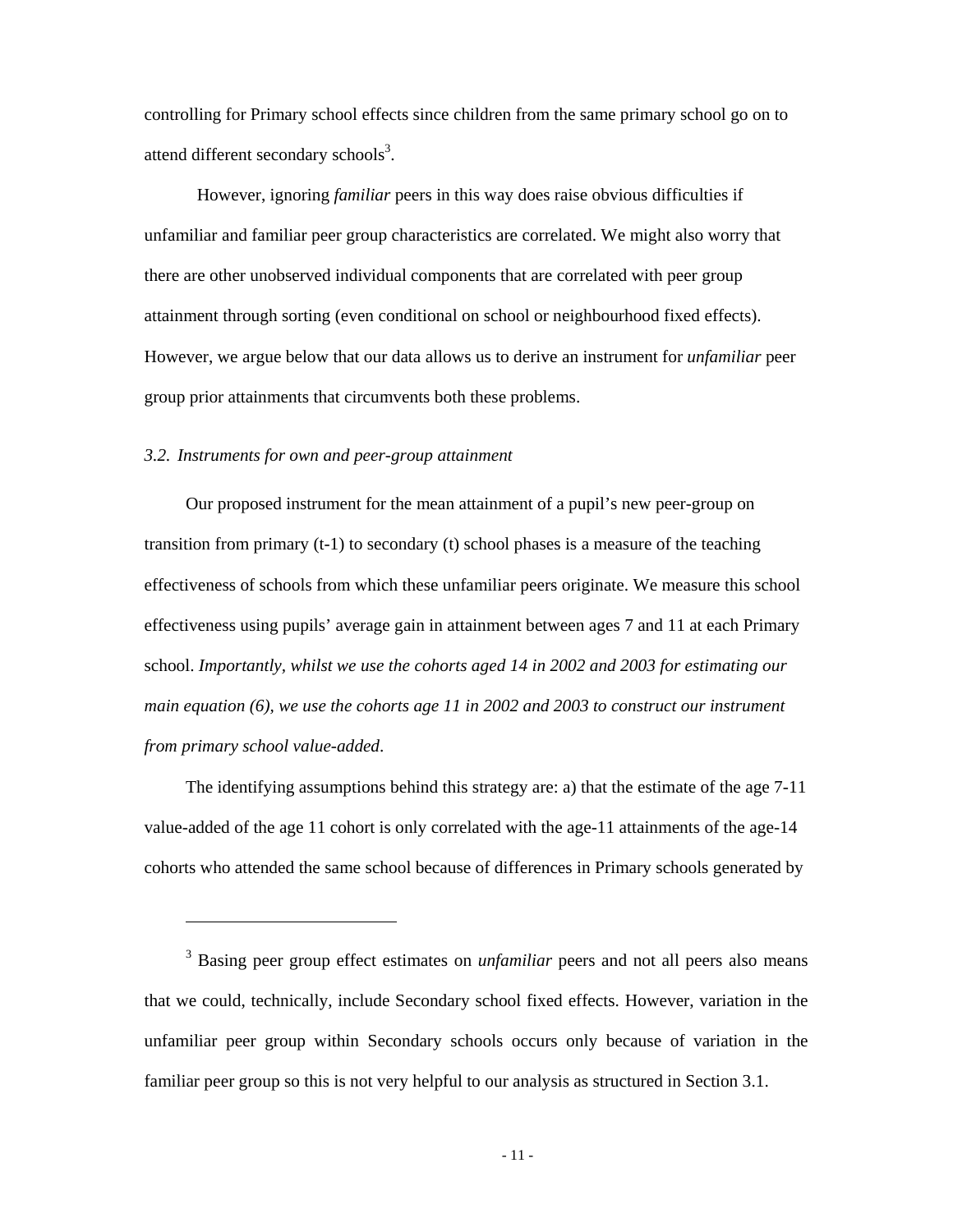controlling for Primary school effects since children from the same primary school go on to attend different secondary schools $3$ .

However, ignoring *familiar* peers in this way does raise obvious difficulties if unfamiliar and familiar peer group characteristics are correlated. We might also worry that there are other unobserved individual components that are correlated with peer group attainment through sorting (even conditional on school or neighbourhood fixed effects). However, we argue below that our data allows us to derive an instrument for *unfamiliar* peer group prior attainments that circumvents both these problems.

# *3.2. Instruments for own and peer-group attainment*

 $\overline{a}$ 

Our proposed instrument for the mean attainment of a pupil's new peer-group on transition from primary  $(t-1)$  to secondary  $(t)$  school phases is a measure of the teaching effectiveness of schools from which these unfamiliar peers originate. We measure this school effectiveness using pupils' average gain in attainment between ages 7 and 11 at each Primary school. *Importantly, whilst we use the cohorts aged 14 in 2002 and 2003 for estimating our main equation (6), we use the cohorts age 11 in 2002 and 2003 to construct our instrument from primary school value-added*.

The identifying assumptions behind this strategy are: a) that the estimate of the age 7-11 value-added of the age 11 cohort is only correlated with the age-11 attainments of the age-14 cohorts who attended the same school because of differences in Primary schools generated by

<sup>&</sup>lt;sup>3</sup> Basing peer group effect estimates on *unfamiliar* peers and not all peers also means that we could, technically, include Secondary school fixed effects. However, variation in the unfamiliar peer group within Secondary schools occurs only because of variation in the familiar peer group so this is not very helpful to our analysis as structured in Section 3.1.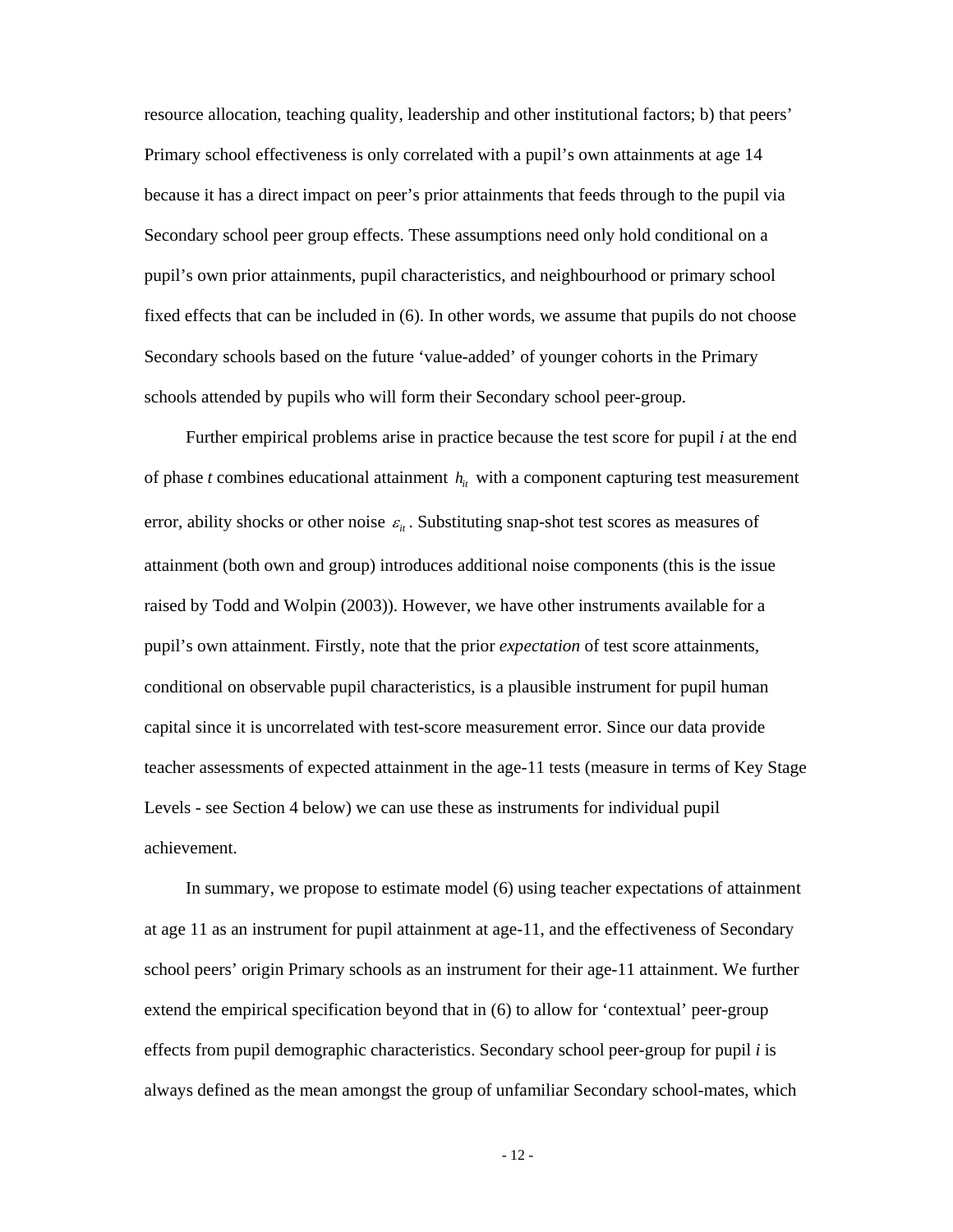resource allocation, teaching quality, leadership and other institutional factors; b) that peers' Primary school effectiveness is only correlated with a pupil's own attainments at age 14 because it has a direct impact on peer's prior attainments that feeds through to the pupil via Secondary school peer group effects. These assumptions need only hold conditional on a pupil's own prior attainments, pupil characteristics, and neighbourhood or primary school fixed effects that can be included in (6). In other words, we assume that pupils do not choose Secondary schools based on the future 'value-added' of younger cohorts in the Primary schools attended by pupils who will form their Secondary school peer-group.

Further empirical problems arise in practice because the test score for pupil *i* at the end of phase *t* combines educational attainment  $h<sub>i</sub>$  with a component capturing test measurement error, ability shocks or other noise  $\varepsilon$ <sub>*ii*</sub>. Substituting snap-shot test scores as measures of attainment (both own and group) introduces additional noise components (this is the issue raised by Todd and Wolpin (2003)). However, we have other instruments available for a pupil's own attainment. Firstly, note that the prior *expectation* of test score attainments, conditional on observable pupil characteristics, is a plausible instrument for pupil human capital since it is uncorrelated with test-score measurement error. Since our data provide teacher assessments of expected attainment in the age-11 tests (measure in terms of Key Stage Levels - see Section 4 below) we can use these as instruments for individual pupil achievement.

In summary, we propose to estimate model (6) using teacher expectations of attainment at age 11 as an instrument for pupil attainment at age-11, and the effectiveness of Secondary school peers' origin Primary schools as an instrument for their age-11 attainment. We further extend the empirical specification beyond that in (6) to allow for 'contextual' peer-group effects from pupil demographic characteristics. Secondary school peer-group for pupil *i* is always defined as the mean amongst the group of unfamiliar Secondary school-mates, which

- 12 -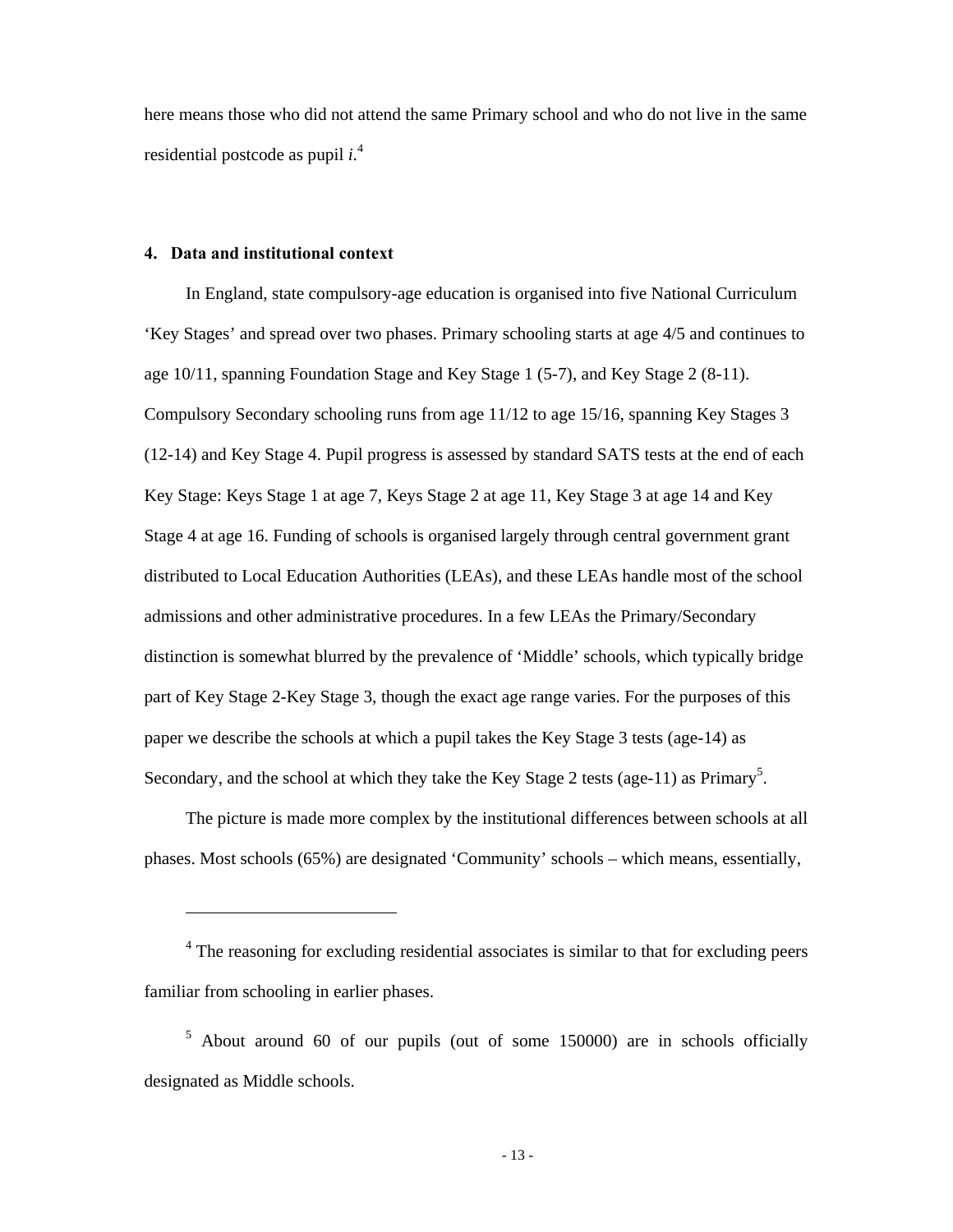here means those who did not attend the same Primary school and who do not live in the same residential postcode as pupil *i*. 4

# **4. Data and institutional context**

 $\overline{a}$ 

In England, state compulsory-age education is organised into five National Curriculum 'Key Stages' and spread over two phases. Primary schooling starts at age 4/5 and continues to age 10/11, spanning Foundation Stage and Key Stage 1 (5-7), and Key Stage 2 (8-11). Compulsory Secondary schooling runs from age 11/12 to age 15/16, spanning Key Stages 3 (12-14) and Key Stage 4. Pupil progress is assessed by standard SATS tests at the end of each Key Stage: Keys Stage 1 at age 7, Keys Stage 2 at age 11, Key Stage 3 at age 14 and Key Stage 4 at age 16. Funding of schools is organised largely through central government grant distributed to Local Education Authorities (LEAs), and these LEAs handle most of the school admissions and other administrative procedures. In a few LEAs the Primary/Secondary distinction is somewhat blurred by the prevalence of 'Middle' schools, which typically bridge part of Key Stage 2-Key Stage 3, though the exact age range varies. For the purposes of this paper we describe the schools at which a pupil takes the Key Stage 3 tests (age-14) as Secondary, and the school at which they take the Key Stage 2 tests (age-11) as Primary<sup>5</sup>.

The picture is made more complex by the institutional differences between schools at all phases. Most schools (65%) are designated 'Community' schools – which means, essentially,

<sup>&</sup>lt;sup>4</sup> The reasoning for excluding residential associates is similar to that for excluding peers familiar from schooling in earlier phases.

<sup>&</sup>lt;sup>5</sup> About around 60 of our pupils (out of some 150000) are in schools officially designated as Middle schools.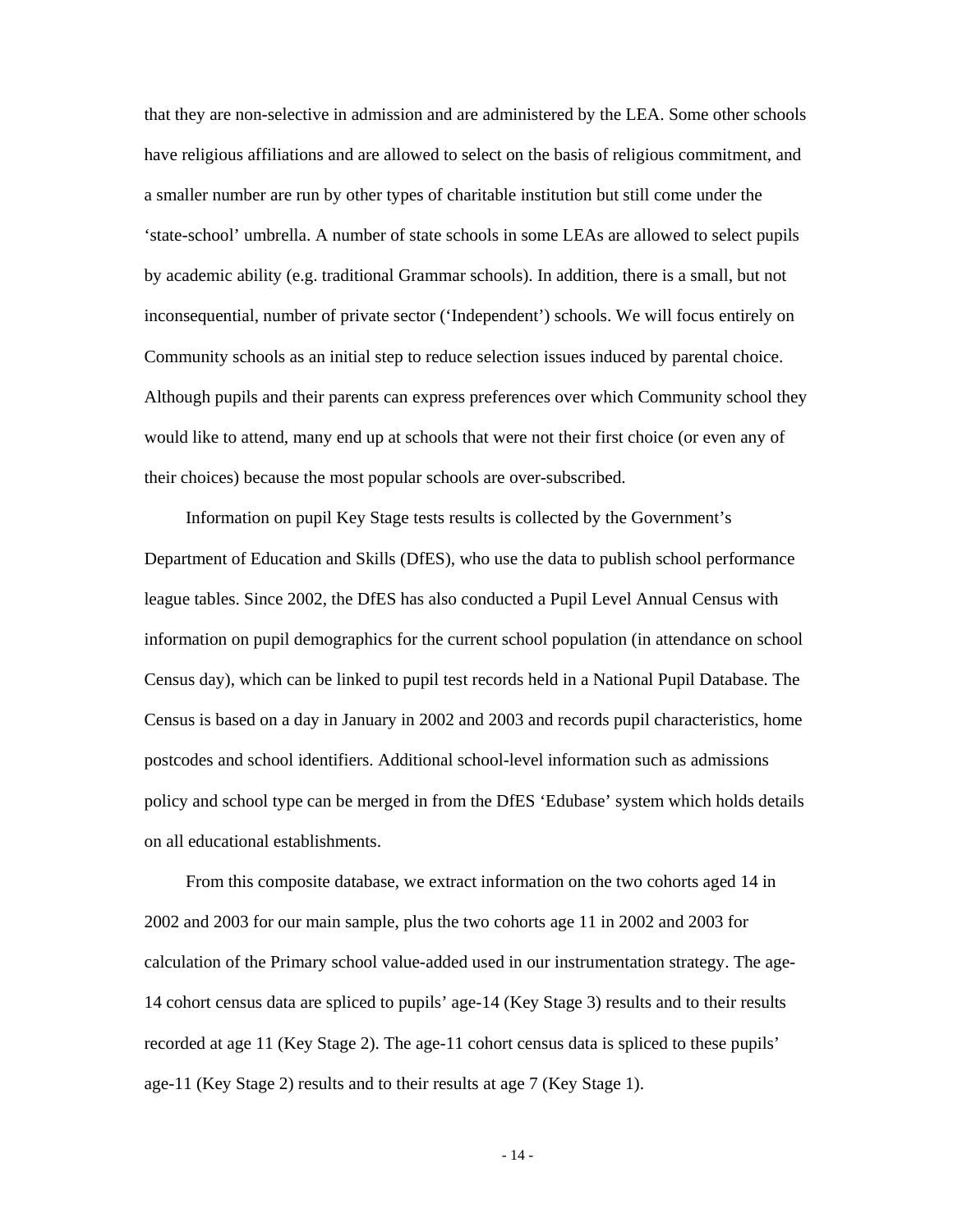that they are non-selective in admission and are administered by the LEA. Some other schools have religious affiliations and are allowed to select on the basis of religious commitment, and a smaller number are run by other types of charitable institution but still come under the 'state-school' umbrella. A number of state schools in some LEAs are allowed to select pupils by academic ability (e.g. traditional Grammar schools). In addition, there is a small, but not inconsequential, number of private sector ('Independent') schools. We will focus entirely on Community schools as an initial step to reduce selection issues induced by parental choice. Although pupils and their parents can express preferences over which Community school they would like to attend, many end up at schools that were not their first choice (or even any of their choices) because the most popular schools are over-subscribed.

Information on pupil Key Stage tests results is collected by the Government's Department of Education and Skills (DfES), who use the data to publish school performance league tables. Since 2002, the DfES has also conducted a Pupil Level Annual Census with information on pupil demographics for the current school population (in attendance on school Census day), which can be linked to pupil test records held in a National Pupil Database. The Census is based on a day in January in 2002 and 2003 and records pupil characteristics, home postcodes and school identifiers. Additional school-level information such as admissions policy and school type can be merged in from the DfES 'Edubase' system which holds details on all educational establishments.

From this composite database, we extract information on the two cohorts aged 14 in 2002 and 2003 for our main sample, plus the two cohorts age 11 in 2002 and 2003 for calculation of the Primary school value-added used in our instrumentation strategy. The age-14 cohort census data are spliced to pupils' age-14 (Key Stage 3) results and to their results recorded at age 11 (Key Stage 2). The age-11 cohort census data is spliced to these pupils' age-11 (Key Stage 2) results and to their results at age 7 (Key Stage 1).

- 14 -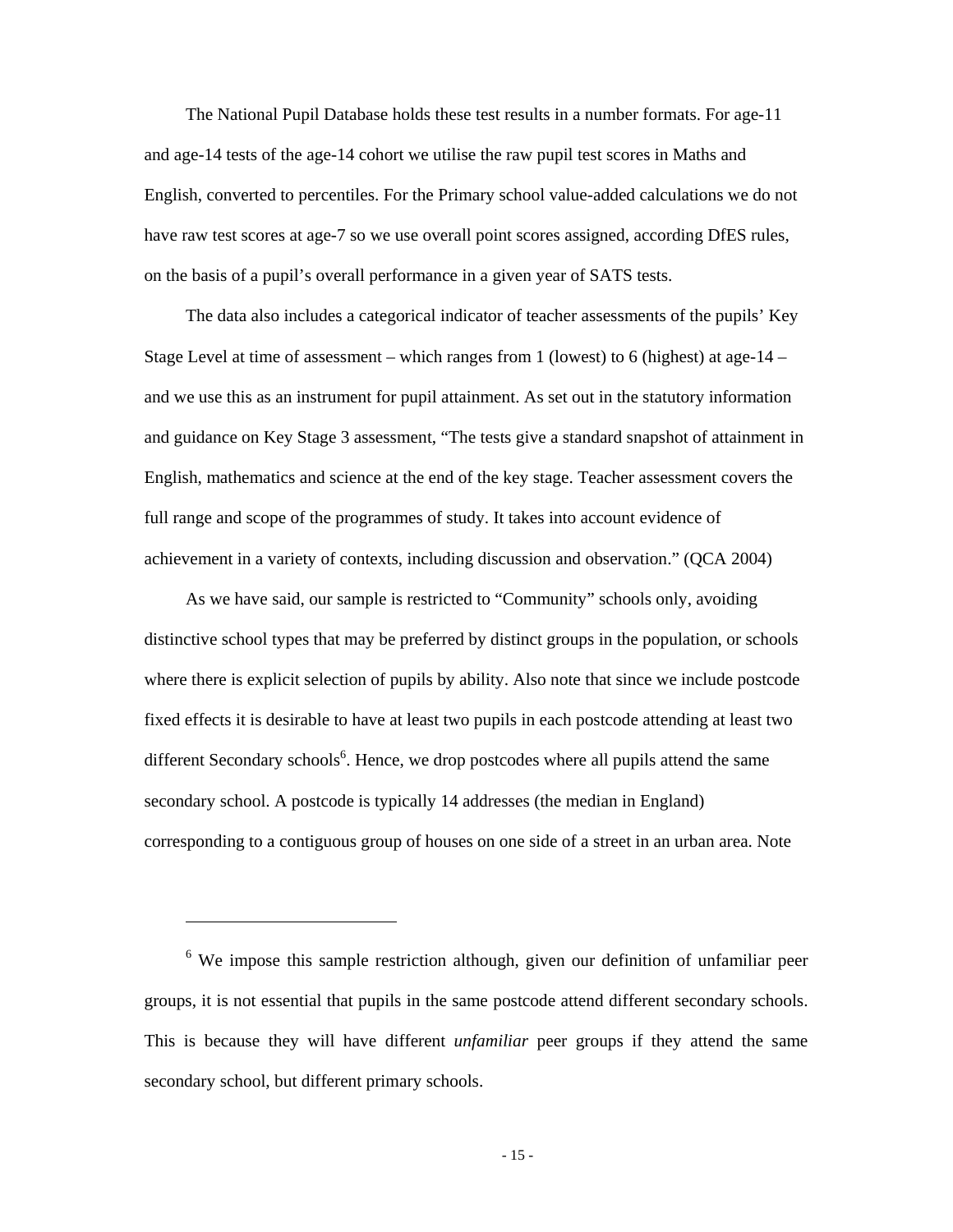The National Pupil Database holds these test results in a number formats. For age-11 and age-14 tests of the age-14 cohort we utilise the raw pupil test scores in Maths and English, converted to percentiles. For the Primary school value-added calculations we do not have raw test scores at age-7 so we use overall point scores assigned, according DfES rules, on the basis of a pupil's overall performance in a given year of SATS tests.

The data also includes a categorical indicator of teacher assessments of the pupils' Key Stage Level at time of assessment – which ranges from 1 (lowest) to 6 (highest) at age- $14$  – and we use this as an instrument for pupil attainment. As set out in the statutory information and guidance on Key Stage 3 assessment, "The tests give a standard snapshot of attainment in English, mathematics and science at the end of the key stage. Teacher assessment covers the full range and scope of the programmes of study. It takes into account evidence of achievement in a variety of contexts, including discussion and observation." (QCA 2004)

As we have said, our sample is restricted to "Community" schools only, avoiding distinctive school types that may be preferred by distinct groups in the population, or schools where there is explicit selection of pupils by ability. Also note that since we include postcode fixed effects it is desirable to have at least two pupils in each postcode attending at least two different Secondary schools<sup>6</sup>. Hence, we drop postcodes where all pupils attend the same secondary school. A postcode is typically 14 addresses (the median in England) corresponding to a contiguous group of houses on one side of a street in an urban area. Note

 $\overline{a}$ 

<sup>&</sup>lt;sup>6</sup> We impose this sample restriction although, given our definition of unfamiliar peer groups, it is not essential that pupils in the same postcode attend different secondary schools. This is because they will have different *unfamiliar* peer groups if they attend the same secondary school, but different primary schools.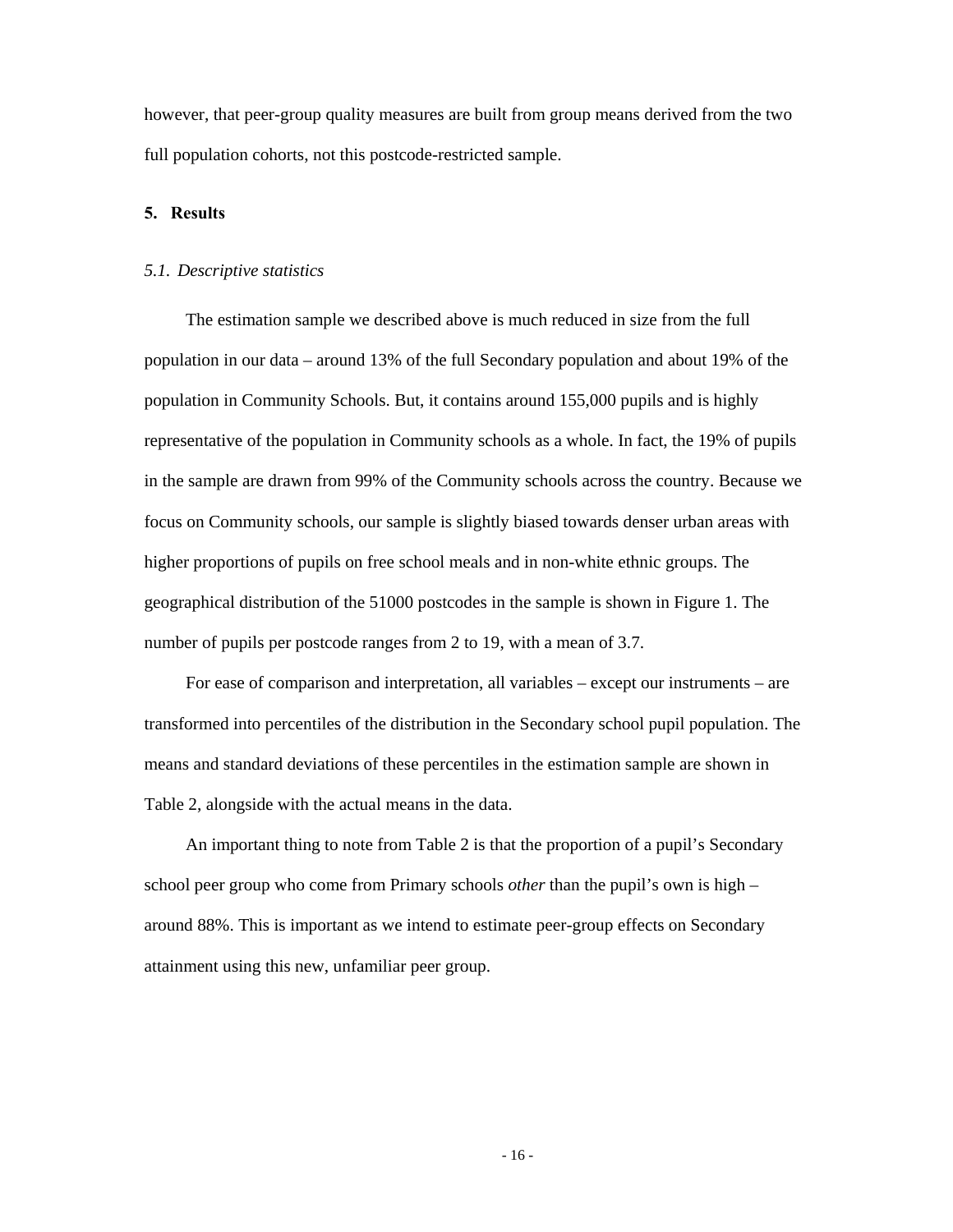however, that peer-group quality measures are built from group means derived from the two full population cohorts, not this postcode-restricted sample.

### **5. Results**

#### *5.1. Descriptive statistics*

The estimation sample we described above is much reduced in size from the full population in our data – around 13% of the full Secondary population and about 19% of the population in Community Schools. But, it contains around 155,000 pupils and is highly representative of the population in Community schools as a whole. In fact, the 19% of pupils in the sample are drawn from 99% of the Community schools across the country. Because we focus on Community schools, our sample is slightly biased towards denser urban areas with higher proportions of pupils on free school meals and in non-white ethnic groups. The geographical distribution of the 51000 postcodes in the sample is shown in Figure 1. The number of pupils per postcode ranges from 2 to 19, with a mean of 3.7.

For ease of comparison and interpretation, all variables – except our instruments – are transformed into percentiles of the distribution in the Secondary school pupil population. The means and standard deviations of these percentiles in the estimation sample are shown in Table 2, alongside with the actual means in the data.

An important thing to note from Table 2 is that the proportion of a pupil's Secondary school peer group who come from Primary schools *other* than the pupil's own is high – around 88%. This is important as we intend to estimate peer-group effects on Secondary attainment using this new, unfamiliar peer group.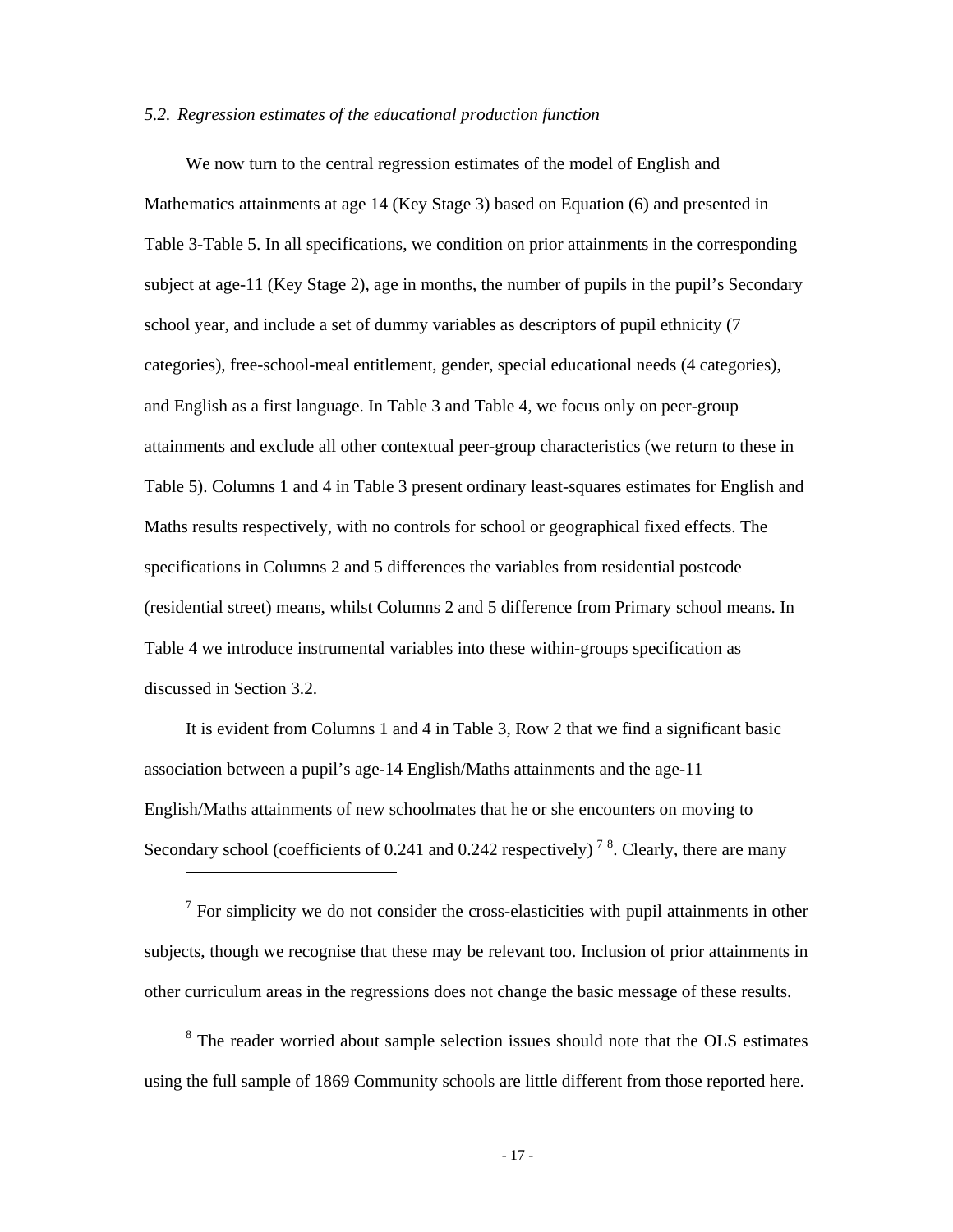### *5.2. Regression estimates of the educational production function*

We now turn to the central regression estimates of the model of English and Mathematics attainments at age 14 (Key Stage 3) based on Equation (6) and presented in Table 3-Table 5. In all specifications, we condition on prior attainments in the corresponding subject at age-11 (Key Stage 2), age in months, the number of pupils in the pupil's Secondary school year, and include a set of dummy variables as descriptors of pupil ethnicity (7 categories), free-school-meal entitlement, gender, special educational needs (4 categories), and English as a first language. In Table 3 and Table 4, we focus only on peer-group attainments and exclude all other contextual peer-group characteristics (we return to these in Table 5). Columns 1 and 4 in Table 3 present ordinary least-squares estimates for English and Maths results respectively, with no controls for school or geographical fixed effects. The specifications in Columns 2 and 5 differences the variables from residential postcode (residential street) means, whilst Columns 2 and 5 difference from Primary school means. In Table 4 we introduce instrumental variables into these within-groups specification as discussed in Section 3.2.

It is evident from Columns 1 and 4 in Table 3, Row 2 that we find a significant basic association between a pupil's age-14 English/Maths attainments and the age-11 English/Maths attainments of new schoolmates that he or she encounters on moving to Secondary school (coefficients of 0.241 and 0.242 respectively)<sup>78</sup>. Clearly, there are many

 $\overline{a}$ 

 $<sup>7</sup>$  For simplicity we do not consider the cross-elasticities with pupil attainments in other</sup> subjects, though we recognise that these may be relevant too. Inclusion of prior attainments in other curriculum areas in the regressions does not change the basic message of these results.

<sup>8</sup> The reader worried about sample selection issues should note that the OLS estimates using the full sample of 1869 Community schools are little different from those reported here.

- 17 -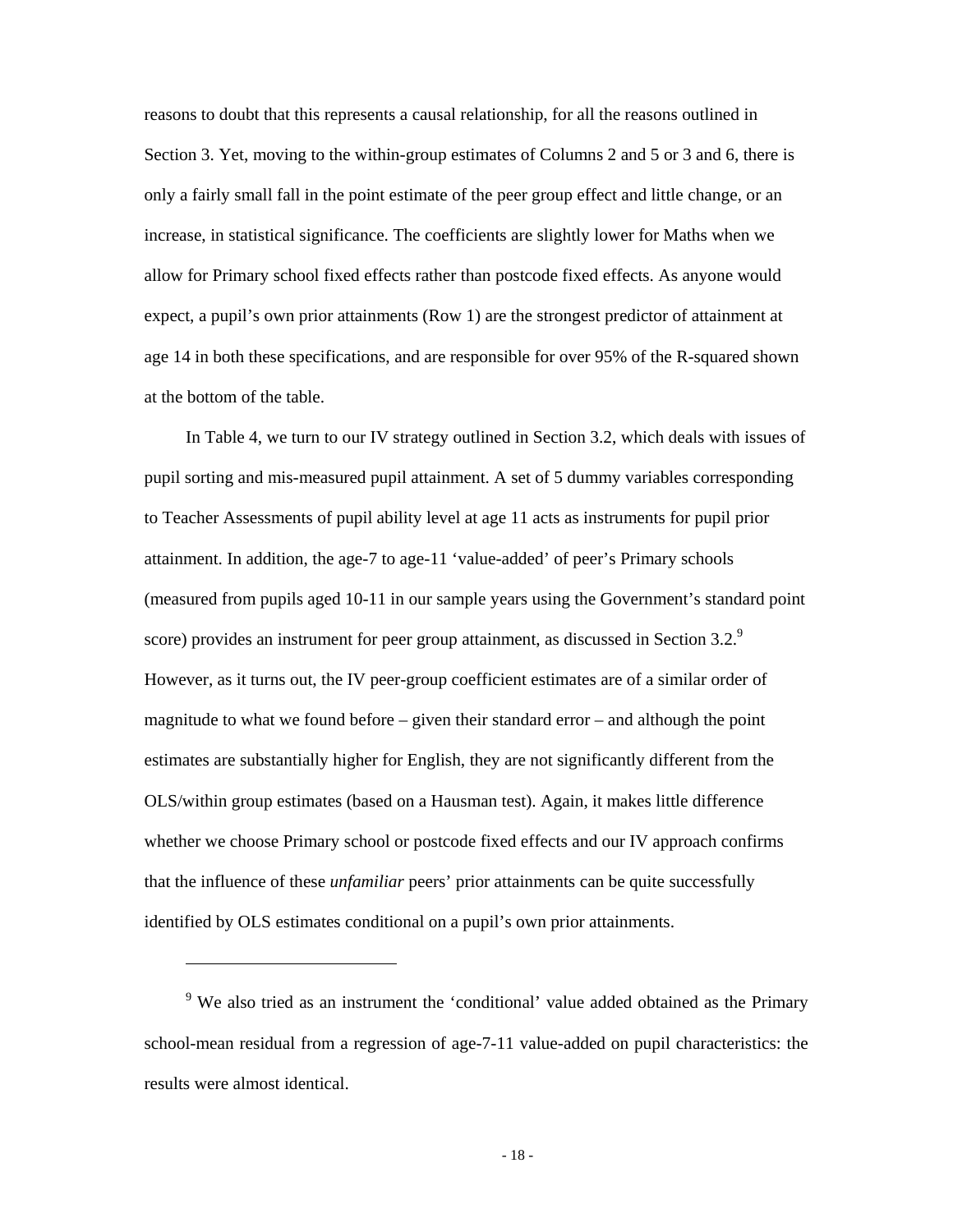reasons to doubt that this represents a causal relationship, for all the reasons outlined in Section 3. Yet, moving to the within-group estimates of Columns 2 and 5 or 3 and 6, there is only a fairly small fall in the point estimate of the peer group effect and little change, or an increase, in statistical significance. The coefficients are slightly lower for Maths when we allow for Primary school fixed effects rather than postcode fixed effects. As anyone would expect, a pupil's own prior attainments (Row 1) are the strongest predictor of attainment at age 14 in both these specifications, and are responsible for over 95% of the R-squared shown at the bottom of the table.

In Table 4, we turn to our IV strategy outlined in Section 3.2, which deals with issues of pupil sorting and mis-measured pupil attainment. A set of 5 dummy variables corresponding to Teacher Assessments of pupil ability level at age 11 acts as instruments for pupil prior attainment. In addition, the age-7 to age-11 'value-added' of peer's Primary schools (measured from pupils aged 10-11 in our sample years using the Government's standard point score) provides an instrument for peer group attainment, as discussed in Section 3.2.<sup>9</sup> However, as it turns out, the IV peer-group coefficient estimates are of a similar order of magnitude to what we found before – given their standard error – and although the point estimates are substantially higher for English, they are not significantly different from the OLS/within group estimates (based on a Hausman test). Again, it makes little difference whether we choose Primary school or postcode fixed effects and our IV approach confirms that the influence of these *unfamiliar* peers' prior attainments can be quite successfully identified by OLS estimates conditional on a pupil's own prior attainments.

 $\overline{a}$ 

<sup>&</sup>lt;sup>9</sup> We also tried as an instrument the 'conditional' value added obtained as the Primary school-mean residual from a regression of age-7-11 value-added on pupil characteristics: the results were almost identical.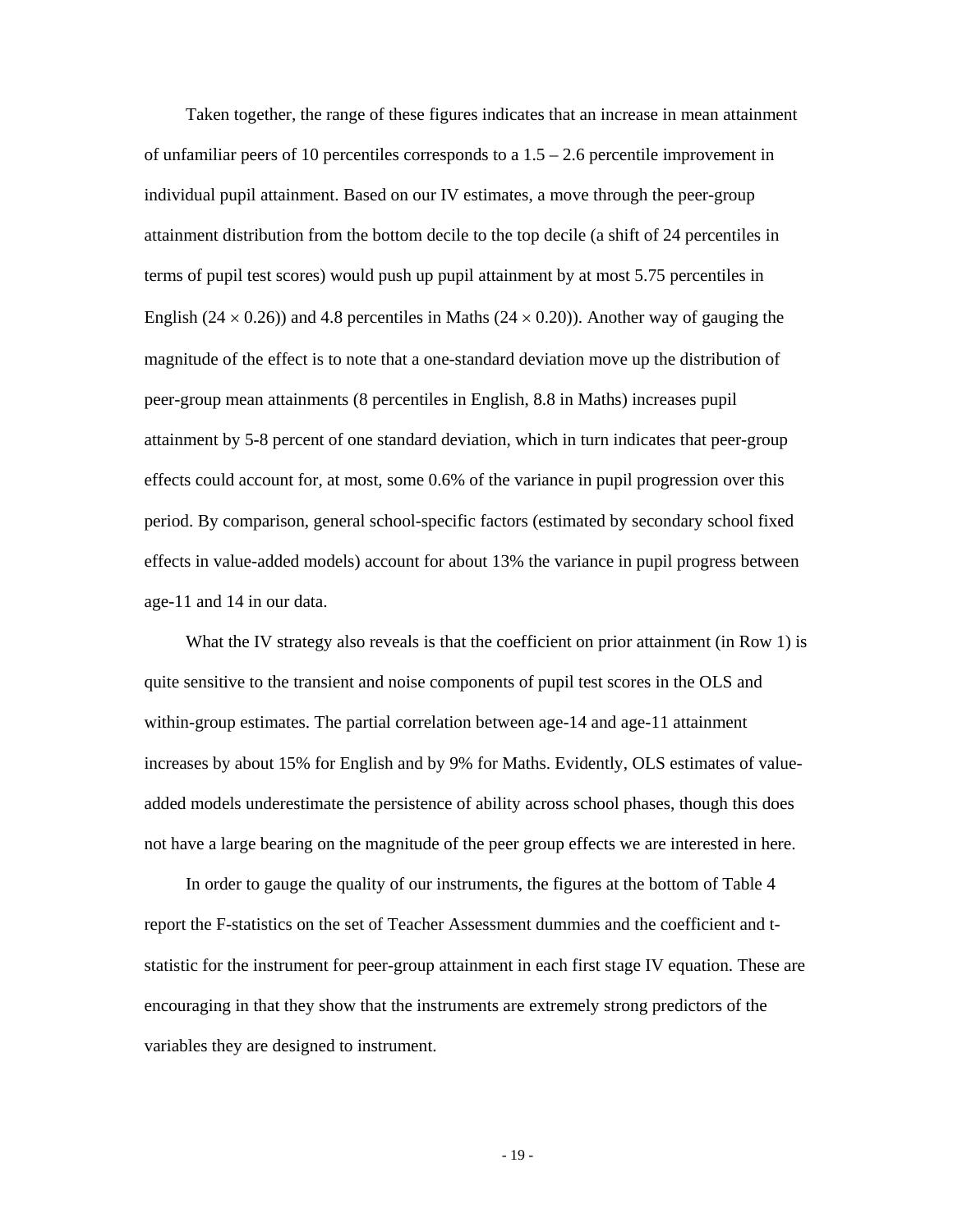Taken together, the range of these figures indicates that an increase in mean attainment of unfamiliar peers of 10 percentiles corresponds to a  $1.5 - 2.6$  percentile improvement in individual pupil attainment. Based on our IV estimates, a move through the peer-group attainment distribution from the bottom decile to the top decile (a shift of 24 percentiles in terms of pupil test scores) would push up pupil attainment by at most 5.75 percentiles in English (24  $\times$  0.26)) and 4.8 percentiles in Maths (24  $\times$  0.20)). Another way of gauging the magnitude of the effect is to note that a one-standard deviation move up the distribution of peer-group mean attainments (8 percentiles in English, 8.8 in Maths) increases pupil attainment by 5-8 percent of one standard deviation, which in turn indicates that peer-group effects could account for, at most, some 0.6% of the variance in pupil progression over this period. By comparison, general school-specific factors (estimated by secondary school fixed effects in value-added models) account for about 13% the variance in pupil progress between age-11 and 14 in our data.

What the IV strategy also reveals is that the coefficient on prior attainment (in Row 1) is quite sensitive to the transient and noise components of pupil test scores in the OLS and within-group estimates. The partial correlation between age-14 and age-11 attainment increases by about 15% for English and by 9% for Maths. Evidently, OLS estimates of valueadded models underestimate the persistence of ability across school phases, though this does not have a large bearing on the magnitude of the peer group effects we are interested in here.

In order to gauge the quality of our instruments, the figures at the bottom of Table 4 report the F-statistics on the set of Teacher Assessment dummies and the coefficient and tstatistic for the instrument for peer-group attainment in each first stage IV equation. These are encouraging in that they show that the instruments are extremely strong predictors of the variables they are designed to instrument.

- 19 -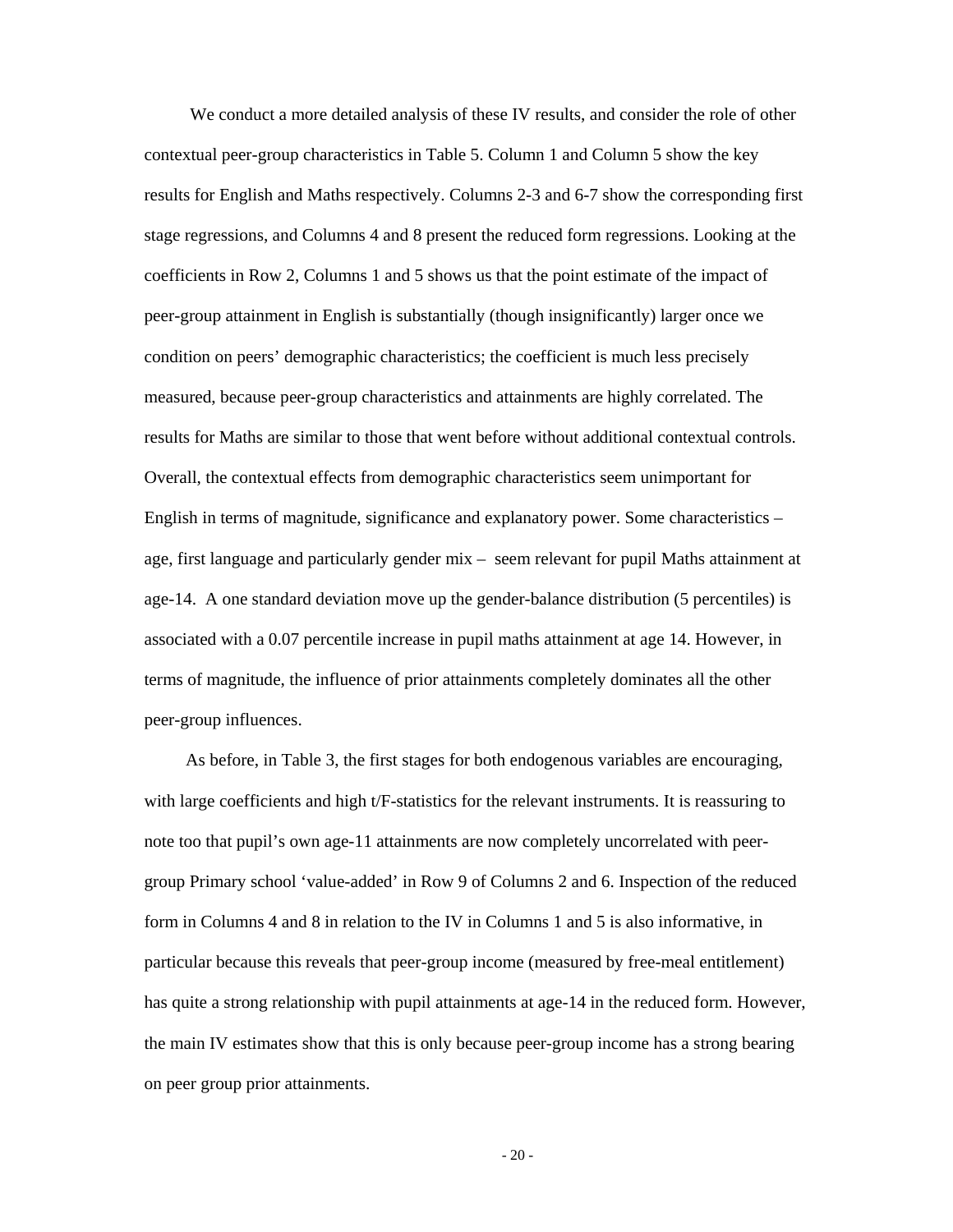We conduct a more detailed analysis of these IV results, and consider the role of other contextual peer-group characteristics in Table 5. Column 1 and Column 5 show the key results for English and Maths respectively. Columns 2-3 and 6-7 show the corresponding first stage regressions, and Columns 4 and 8 present the reduced form regressions. Looking at the coefficients in Row 2, Columns 1 and 5 shows us that the point estimate of the impact of peer-group attainment in English is substantially (though insignificantly) larger once we condition on peers' demographic characteristics; the coefficient is much less precisely measured, because peer-group characteristics and attainments are highly correlated. The results for Maths are similar to those that went before without additional contextual controls. Overall, the contextual effects from demographic characteristics seem unimportant for English in terms of magnitude, significance and explanatory power. Some characteristics – age, first language and particularly gender mix – seem relevant for pupil Maths attainment at age-14. A one standard deviation move up the gender-balance distribution (5 percentiles) is associated with a 0.07 percentile increase in pupil maths attainment at age 14. However, in terms of magnitude, the influence of prior attainments completely dominates all the other peer-group influences.

As before, in Table 3, the first stages for both endogenous variables are encouraging, with large coefficients and high t/F-statistics for the relevant instruments. It is reassuring to note too that pupil's own age-11 attainments are now completely uncorrelated with peergroup Primary school 'value-added' in Row 9 of Columns 2 and 6. Inspection of the reduced form in Columns 4 and 8 in relation to the IV in Columns 1 and 5 is also informative, in particular because this reveals that peer-group income (measured by free-meal entitlement) has quite a strong relationship with pupil attainments at age-14 in the reduced form. However, the main IV estimates show that this is only because peer-group income has a strong bearing on peer group prior attainments.

 $-20-$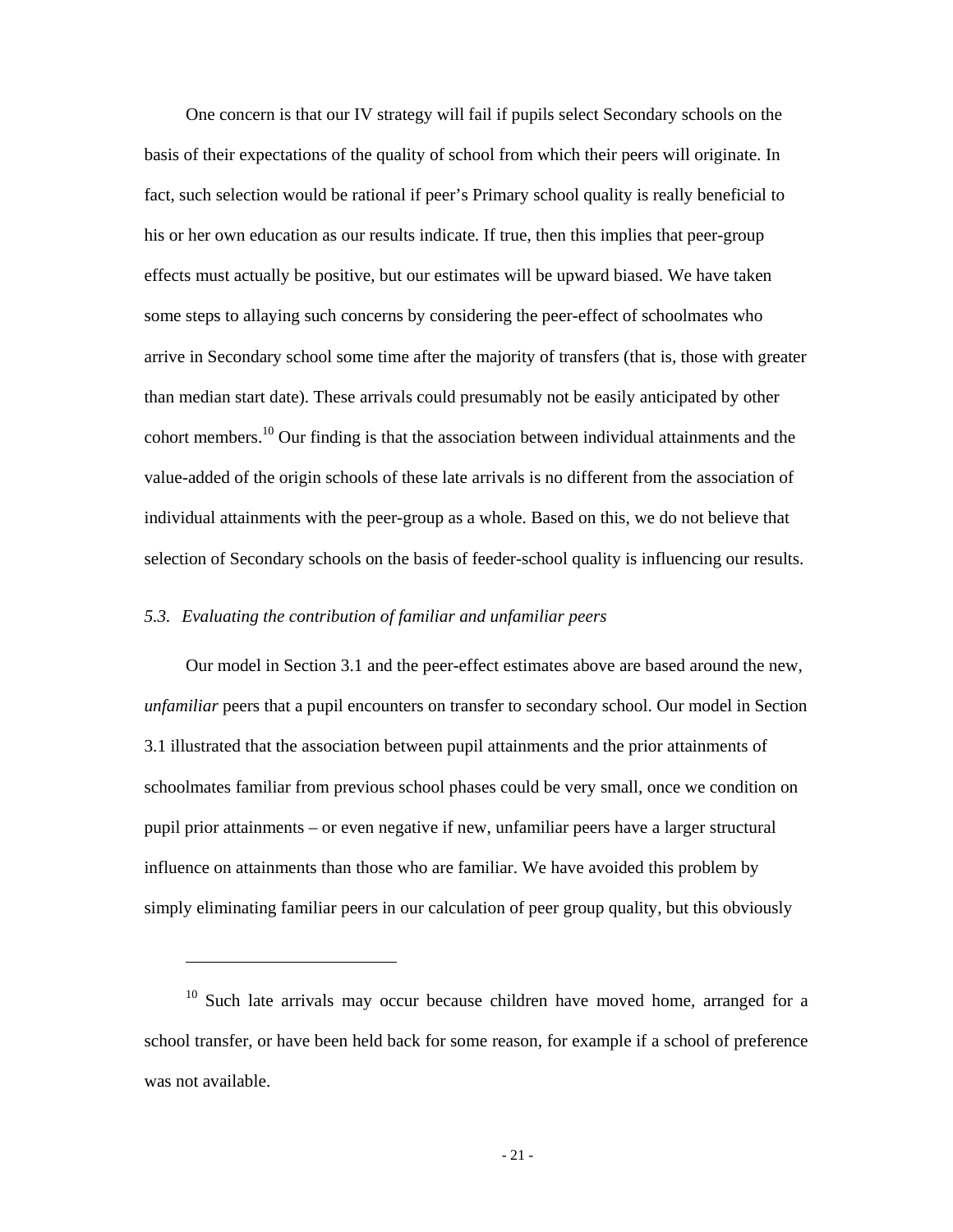One concern is that our IV strategy will fail if pupils select Secondary schools on the basis of their expectations of the quality of school from which their peers will originate. In fact, such selection would be rational if peer's Primary school quality is really beneficial to his or her own education as our results indicate. If true, then this implies that peer-group effects must actually be positive, but our estimates will be upward biased. We have taken some steps to allaying such concerns by considering the peer-effect of schoolmates who arrive in Secondary school some time after the majority of transfers (that is, those with greater than median start date). These arrivals could presumably not be easily anticipated by other cohort members.10 Our finding is that the association between individual attainments and the value-added of the origin schools of these late arrivals is no different from the association of individual attainments with the peer-group as a whole. Based on this, we do not believe that selection of Secondary schools on the basis of feeder-school quality is influencing our results.

# *5.3. Evaluating the contribution of familiar and unfamiliar peers*

 $\overline{a}$ 

Our model in Section 3.1 and the peer-effect estimates above are based around the new, *unfamiliar* peers that a pupil encounters on transfer to secondary school. Our model in Section 3.1 illustrated that the association between pupil attainments and the prior attainments of schoolmates familiar from previous school phases could be very small, once we condition on pupil prior attainments – or even negative if new, unfamiliar peers have a larger structural influence on attainments than those who are familiar. We have avoided this problem by simply eliminating familiar peers in our calculation of peer group quality, but this obviously

<sup>&</sup>lt;sup>10</sup> Such late arrivals may occur because children have moved home, arranged for a school transfer, or have been held back for some reason, for example if a school of preference was not available.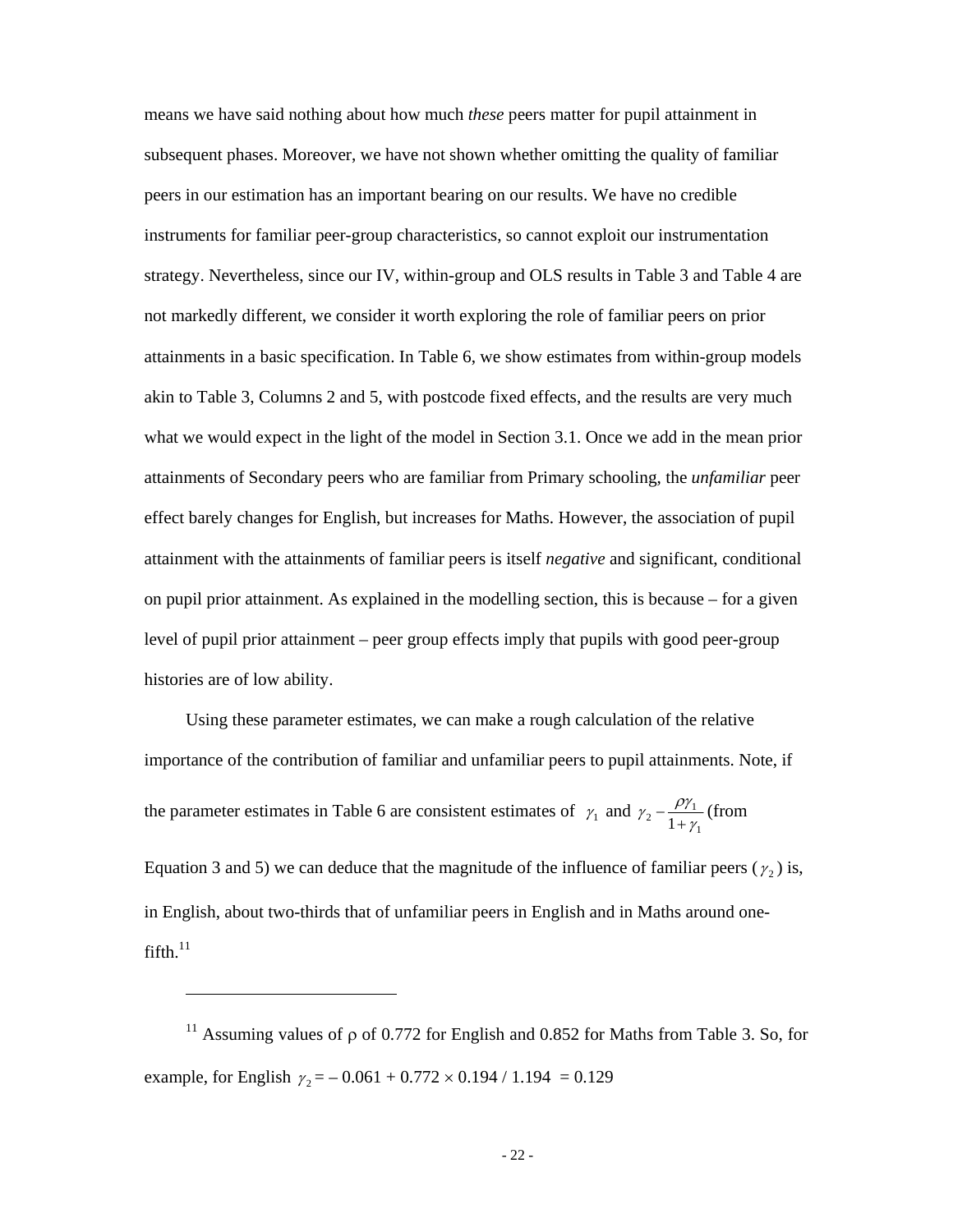means we have said nothing about how much *these* peers matter for pupil attainment in subsequent phases. Moreover, we have not shown whether omitting the quality of familiar peers in our estimation has an important bearing on our results. We have no credible instruments for familiar peer-group characteristics, so cannot exploit our instrumentation strategy. Nevertheless, since our IV, within-group and OLS results in Table 3 and Table 4 are not markedly different, we consider it worth exploring the role of familiar peers on prior attainments in a basic specification. In Table 6, we show estimates from within-group models akin to Table 3, Columns 2 and 5, with postcode fixed effects, and the results are very much what we would expect in the light of the model in Section 3.1. Once we add in the mean prior attainments of Secondary peers who are familiar from Primary schooling, the *unfamiliar* peer effect barely changes for English, but increases for Maths. However, the association of pupil attainment with the attainments of familiar peers is itself *negative* and significant, conditional on pupil prior attainment. As explained in the modelling section, this is because – for a given level of pupil prior attainment – peer group effects imply that pupils with good peer-group histories are of low ability.

Using these parameter estimates, we can make a rough calculation of the relative importance of the contribution of familiar and unfamiliar peers to pupil attainments. Note, if the parameter estimates in Table 6 are consistent estimates of  $\gamma_1$  and  $\gamma_2 - \frac{p\gamma_1}{1 + \gamma_1}$  $\gamma_2 - \frac{\rho \gamma_1}{1 + \gamma_1}$  (from

Equation 3 and 5) we can deduce that the magnitude of the influence of familiar peers ( $\gamma_2$ ) is, in English, about two-thirds that of unfamiliar peers in English and in Maths around one $f$ ifth. $11$ 

<sup>&</sup>lt;sup>11</sup> Assuming values of  $\rho$  of 0.772 for English and 0.852 for Maths from Table 3. So, for example, for English  $\gamma_2 = -0.061 + 0.772 \times 0.194 / 1.194 = 0.129$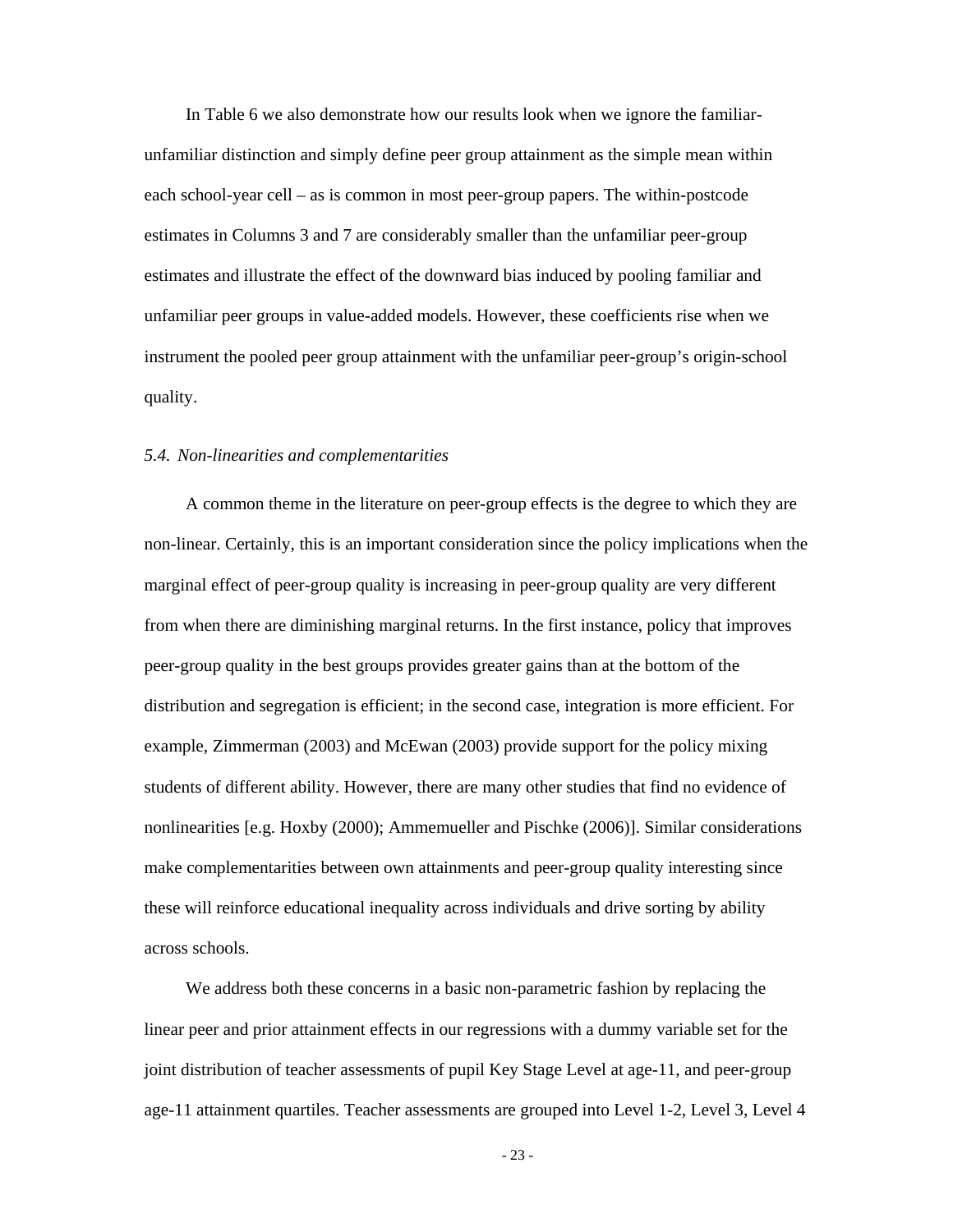In Table 6 we also demonstrate how our results look when we ignore the familiarunfamiliar distinction and simply define peer group attainment as the simple mean within each school-year cell – as is common in most peer-group papers. The within-postcode estimates in Columns 3 and 7 are considerably smaller than the unfamiliar peer-group estimates and illustrate the effect of the downward bias induced by pooling familiar and unfamiliar peer groups in value-added models. However, these coefficients rise when we instrument the pooled peer group attainment with the unfamiliar peer-group's origin-school quality.

#### *5.4. Non-linearities and complementarities*

A common theme in the literature on peer-group effects is the degree to which they are non-linear. Certainly, this is an important consideration since the policy implications when the marginal effect of peer-group quality is increasing in peer-group quality are very different from when there are diminishing marginal returns. In the first instance, policy that improves peer-group quality in the best groups provides greater gains than at the bottom of the distribution and segregation is efficient; in the second case, integration is more efficient. For example, Zimmerman (2003) and McEwan (2003) provide support for the policy mixing students of different ability. However, there are many other studies that find no evidence of nonlinearities [e.g. Hoxby (2000); Ammemueller and Pischke (2006)]. Similar considerations make complementarities between own attainments and peer-group quality interesting since these will reinforce educational inequality across individuals and drive sorting by ability across schools.

We address both these concerns in a basic non-parametric fashion by replacing the linear peer and prior attainment effects in our regressions with a dummy variable set for the joint distribution of teacher assessments of pupil Key Stage Level at age-11, and peer-group age-11 attainment quartiles. Teacher assessments are grouped into Level 1-2, Level 3, Level 4

- 23 -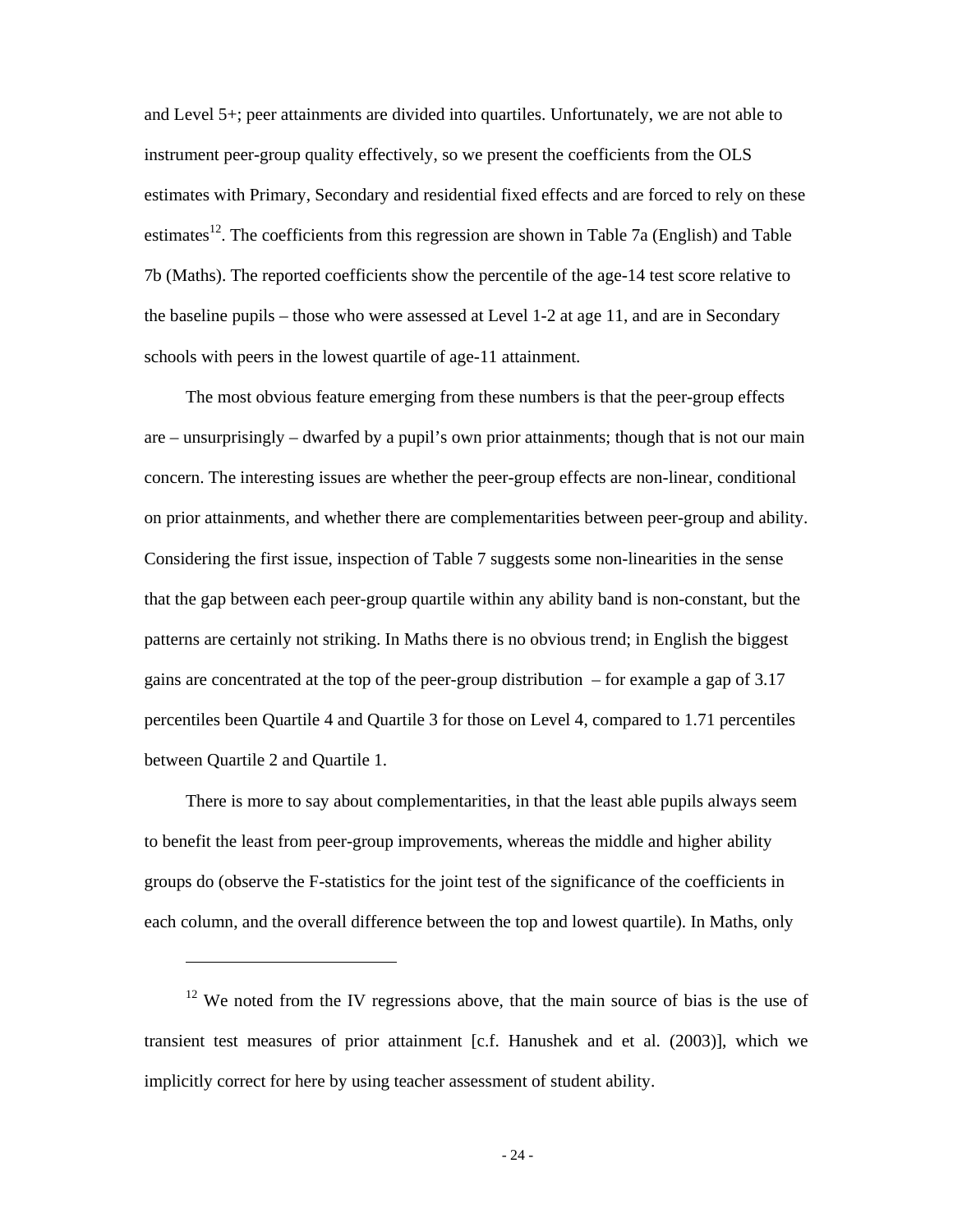and Level 5+; peer attainments are divided into quartiles. Unfortunately, we are not able to instrument peer-group quality effectively, so we present the coefficients from the OLS estimates with Primary, Secondary and residential fixed effects and are forced to rely on these estimates<sup>12</sup>. The coefficients from this regression are shown in Table 7a (English) and Table 7b (Maths). The reported coefficients show the percentile of the age-14 test score relative to the baseline pupils – those who were assessed at Level 1-2 at age 11, and are in Secondary schools with peers in the lowest quartile of age-11 attainment.

The most obvious feature emerging from these numbers is that the peer-group effects are – unsurprisingly – dwarfed by a pupil's own prior attainments; though that is not our main concern. The interesting issues are whether the peer-group effects are non-linear, conditional on prior attainments, and whether there are complementarities between peer-group and ability. Considering the first issue, inspection of Table 7 suggests some non-linearities in the sense that the gap between each peer-group quartile within any ability band is non-constant, but the patterns are certainly not striking. In Maths there is no obvious trend; in English the biggest gains are concentrated at the top of the peer-group distribution – for example a gap of 3.17 percentiles been Quartile 4 and Quartile 3 for those on Level 4, compared to 1.71 percentiles between Quartile 2 and Quartile 1.

There is more to say about complementarities, in that the least able pupils always seem to benefit the least from peer-group improvements, whereas the middle and higher ability groups do (observe the F-statistics for the joint test of the significance of the coefficients in each column, and the overall difference between the top and lowest quartile). In Maths, only

 $\overline{a}$ 

 $12$  We noted from the IV regressions above, that the main source of bias is the use of transient test measures of prior attainment [c.f. Hanushek and et al. (2003)], which we implicitly correct for here by using teacher assessment of student ability.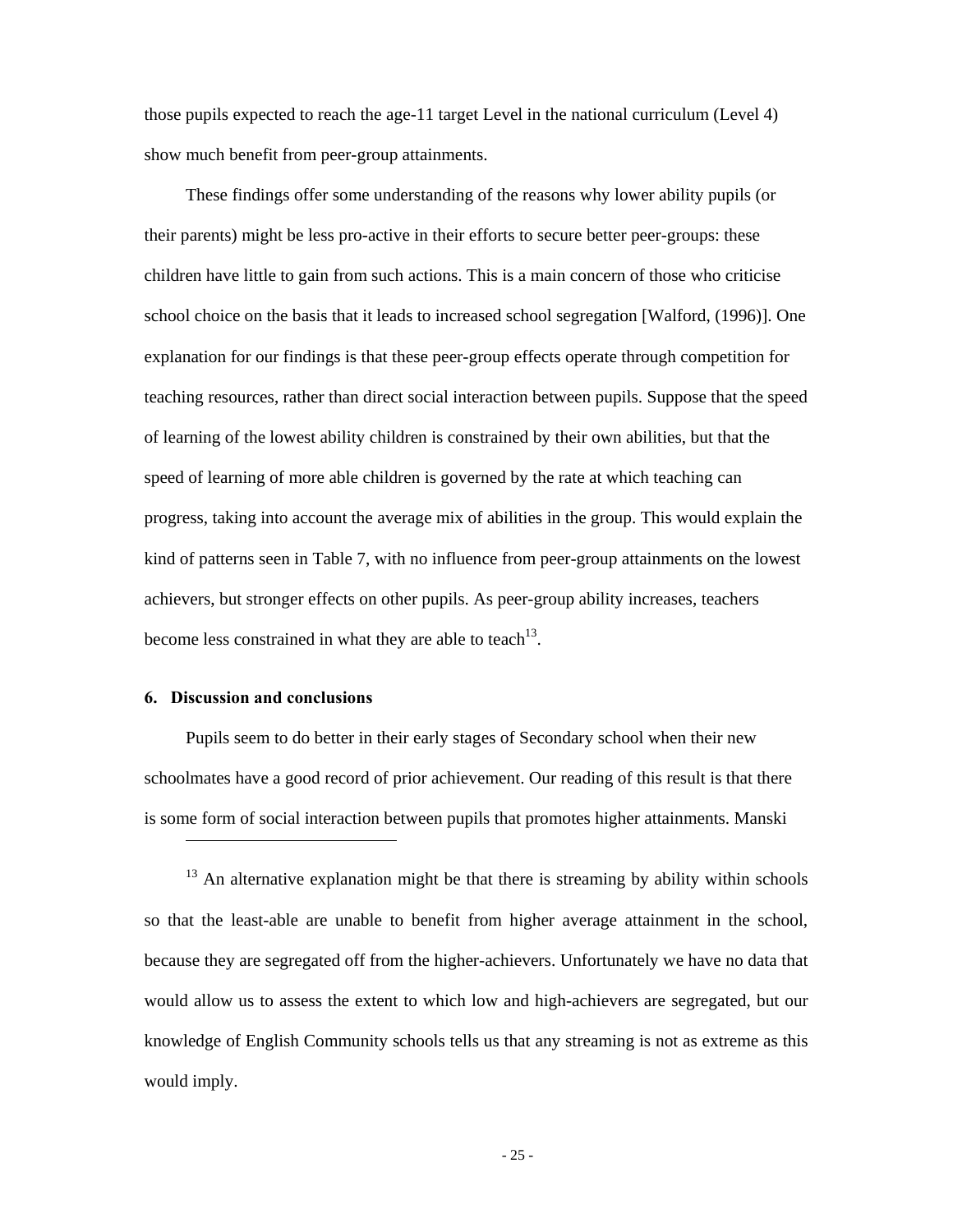those pupils expected to reach the age-11 target Level in the national curriculum (Level 4) show much benefit from peer-group attainments.

These findings offer some understanding of the reasons why lower ability pupils (or their parents) might be less pro-active in their efforts to secure better peer-groups: these children have little to gain from such actions. This is a main concern of those who criticise school choice on the basis that it leads to increased school segregation [Walford, (1996)]. One explanation for our findings is that these peer-group effects operate through competition for teaching resources, rather than direct social interaction between pupils. Suppose that the speed of learning of the lowest ability children is constrained by their own abilities, but that the speed of learning of more able children is governed by the rate at which teaching can progress, taking into account the average mix of abilities in the group. This would explain the kind of patterns seen in Table 7, with no influence from peer-group attainments on the lowest achievers, but stronger effects on other pupils. As peer-group ability increases, teachers become less constrained in what they are able to teach<sup>13</sup>.

### **6. Discussion and conclusions**

 $\overline{a}$ 

Pupils seem to do better in their early stages of Secondary school when their new schoolmates have a good record of prior achievement. Our reading of this result is that there is some form of social interaction between pupils that promotes higher attainments. Manski

<sup>&</sup>lt;sup>13</sup> An alternative explanation might be that there is streaming by ability within schools so that the least-able are unable to benefit from higher average attainment in the school, because they are segregated off from the higher-achievers. Unfortunately we have no data that would allow us to assess the extent to which low and high-achievers are segregated, but our knowledge of English Community schools tells us that any streaming is not as extreme as this would imply.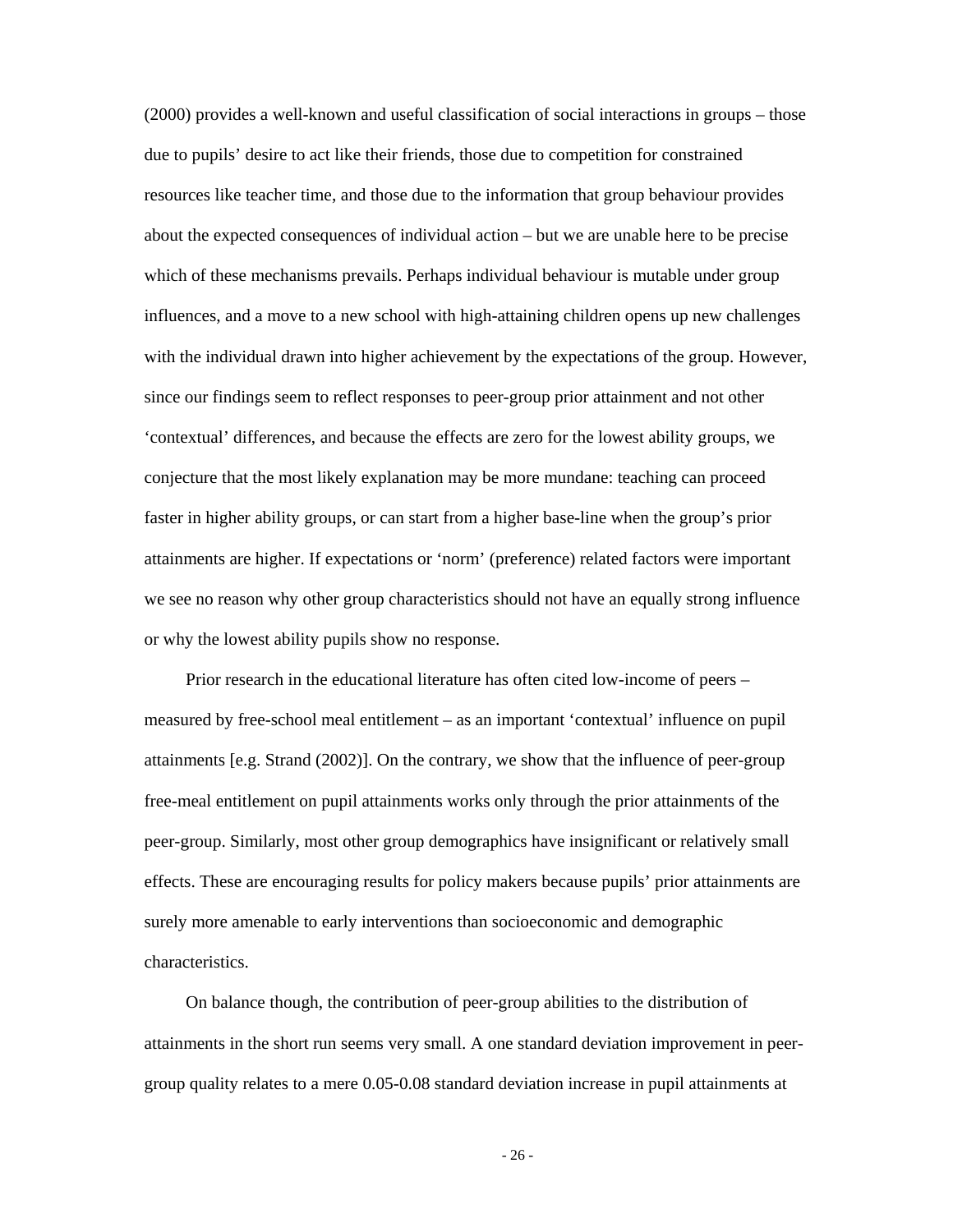(2000) provides a well-known and useful classification of social interactions in groups – those due to pupils' desire to act like their friends, those due to competition for constrained resources like teacher time, and those due to the information that group behaviour provides about the expected consequences of individual action – but we are unable here to be precise which of these mechanisms prevails. Perhaps individual behaviour is mutable under group influences, and a move to a new school with high-attaining children opens up new challenges with the individual drawn into higher achievement by the expectations of the group. However, since our findings seem to reflect responses to peer-group prior attainment and not other 'contextual' differences, and because the effects are zero for the lowest ability groups, we conjecture that the most likely explanation may be more mundane: teaching can proceed faster in higher ability groups, or can start from a higher base-line when the group's prior attainments are higher. If expectations or 'norm' (preference) related factors were important we see no reason why other group characteristics should not have an equally strong influence or why the lowest ability pupils show no response.

Prior research in the educational literature has often cited low-income of peers – measured by free-school meal entitlement – as an important 'contextual' influence on pupil attainments [e.g. Strand (2002)]. On the contrary, we show that the influence of peer-group free-meal entitlement on pupil attainments works only through the prior attainments of the peer-group. Similarly, most other group demographics have insignificant or relatively small effects. These are encouraging results for policy makers because pupils' prior attainments are surely more amenable to early interventions than socioeconomic and demographic characteristics.

On balance though, the contribution of peer-group abilities to the distribution of attainments in the short run seems very small. A one standard deviation improvement in peergroup quality relates to a mere 0.05-0.08 standard deviation increase in pupil attainments at

- 26 -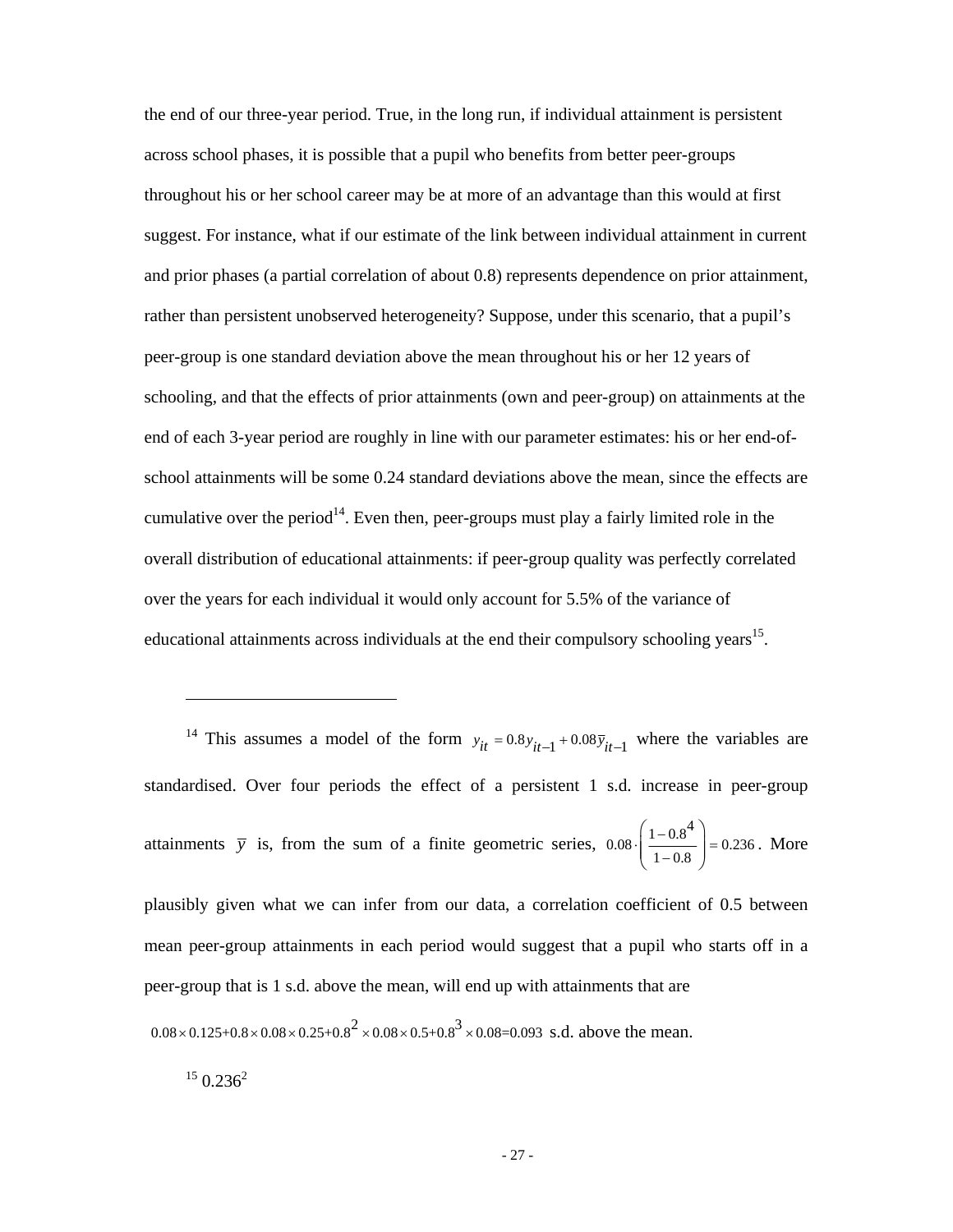the end of our three-year period. True, in the long run, if individual attainment is persistent across school phases, it is possible that a pupil who benefits from better peer-groups throughout his or her school career may be at more of an advantage than this would at first suggest. For instance, what if our estimate of the link between individual attainment in current and prior phases (a partial correlation of about 0.8) represents dependence on prior attainment, rather than persistent unobserved heterogeneity? Suppose, under this scenario, that a pupil's peer-group is one standard deviation above the mean throughout his or her 12 years of schooling, and that the effects of prior attainments (own and peer-group) on attainments at the end of each 3-year period are roughly in line with our parameter estimates: his or her end-ofschool attainments will be some 0.24 standard deviations above the mean, since the effects are cumulative over the period<sup>14</sup>. Even then, peer-groups must play a fairly limited role in the overall distribution of educational attainments: if peer-group quality was perfectly correlated over the years for each individual it would only account for 5.5% of the variance of educational attainments across individuals at the end their compulsory schooling years<sup>15</sup>.

<sup>14</sup> This assumes a model of the form  $y_{it} = 0.8 y_{it-1} + 0.08 \bar{y}_{it-1}$  where the variables are standardised. Over four periods the effect of a persistent 1 s.d. increase in peer-group attainments  $\bar{y}$  is, from the sum of a finite geometric series,  $0.08 \cdot \left( \frac{1 - 0.8^4}{\sqrt{1 - 0.85}} \right) = 0.236$  $\cdot \left( \frac{1 - 0.8^4}{1 - 0.8} \right) =$  $(1-0.8)$ . More

plausibly given what we can infer from our data, a correlation coefficient of 0.5 between mean peer-group attainments in each period would suggest that a pupil who starts off in a peer-group that is 1 s.d. above the mean, will end up with attainments that are  $0.08 \times 0.125 + 0.8 \times 0.08 \times 0.25 + 0.8^2 \times 0.08 \times 0.5 + 0.8^3 \times 0.08 = 0.093$  s.d. above the mean.

 $15$  0.236<sup>2</sup>

 $\overline{a}$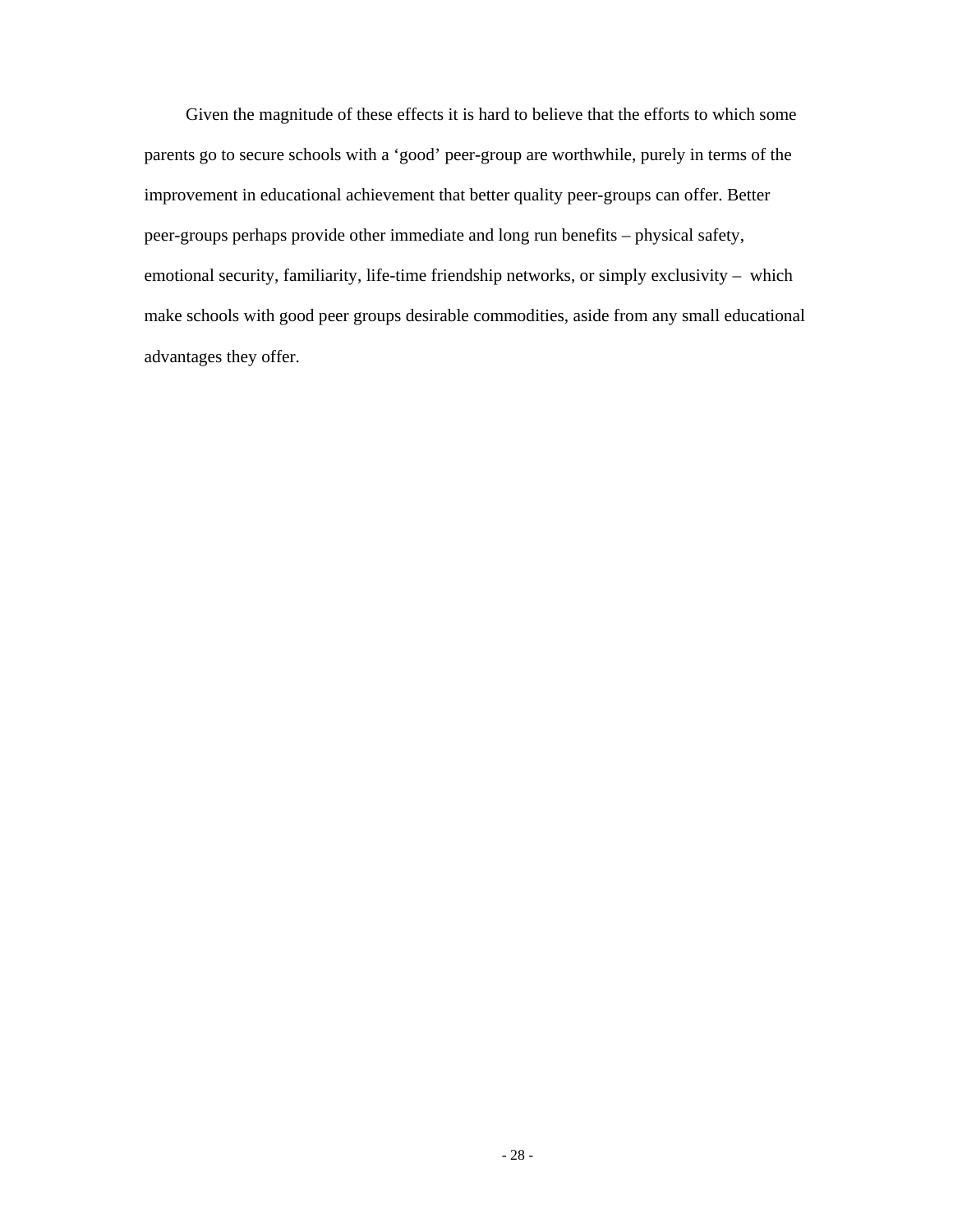Given the magnitude of these effects it is hard to believe that the efforts to which some parents go to secure schools with a 'good' peer-group are worthwhile, purely in terms of the improvement in educational achievement that better quality peer-groups can offer. Better peer-groups perhaps provide other immediate and long run benefits – physical safety, emotional security, familiarity, life-time friendship networks, or simply exclusivity – which make schools with good peer groups desirable commodities, aside from any small educational advantages they offer.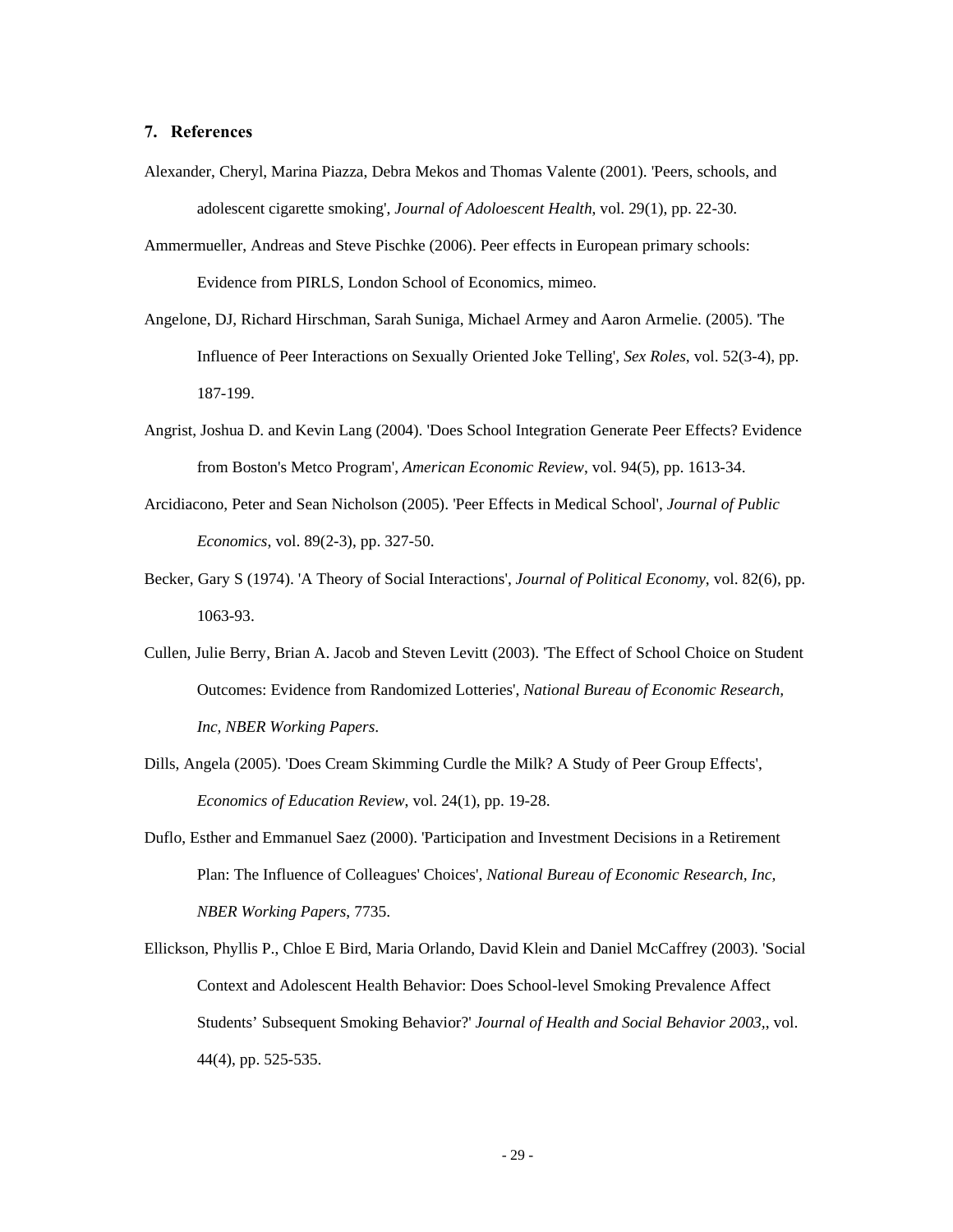#### **7. References**

- Alexander, Cheryl, Marina Piazza, Debra Mekos and Thomas Valente (2001). 'Peers, schools, and adolescent cigarette smoking', *Journal of Adoloescent Health*, vol. 29(1), pp. 22-30.
- Ammermueller, Andreas and Steve Pischke (2006). Peer effects in European primary schools: Evidence from PIRLS, London School of Economics, mimeo.
- Angelone, DJ, Richard Hirschman, Sarah Suniga, Michael Armey and Aaron Armelie. (2005). 'The Influence of Peer Interactions on Sexually Oriented Joke Telling', *Sex Roles*, vol. 52(3-4), pp. 187-199.
- Angrist, Joshua D. and Kevin Lang (2004). 'Does School Integration Generate Peer Effects? Evidence from Boston's Metco Program', *American Economic Review*, vol. 94(5), pp. 1613-34.
- Arcidiacono, Peter and Sean Nicholson (2005). 'Peer Effects in Medical School', *Journal of Public Economics*, vol. 89(2-3), pp. 327-50.
- Becker, Gary S (1974). 'A Theory of Social Interactions', *Journal of Political Economy*, vol. 82(6), pp. 1063-93.
- Cullen, Julie Berry, Brian A. Jacob and Steven Levitt (2003). 'The Effect of School Choice on Student Outcomes: Evidence from Randomized Lotteries', *National Bureau of Economic Research, Inc, NBER Working Papers*.
- Dills, Angela (2005). 'Does Cream Skimming Curdle the Milk? A Study of Peer Group Effects', *Economics of Education Review*, vol. 24(1), pp. 19-28.
- Duflo, Esther and Emmanuel Saez (2000). 'Participation and Investment Decisions in a Retirement Plan: The Influence of Colleagues' Choices', *National Bureau of Economic Research, Inc, NBER Working Papers*, 7735.
- Ellickson, Phyllis P., Chloe E Bird, Maria Orlando, David Klein and Daniel McCaffrey (2003). 'Social Context and Adolescent Health Behavior: Does School-level Smoking Prevalence Affect Students' Subsequent Smoking Behavior?' *Journal of Health and Social Behavior 2003,*, vol. 44(4), pp. 525-535.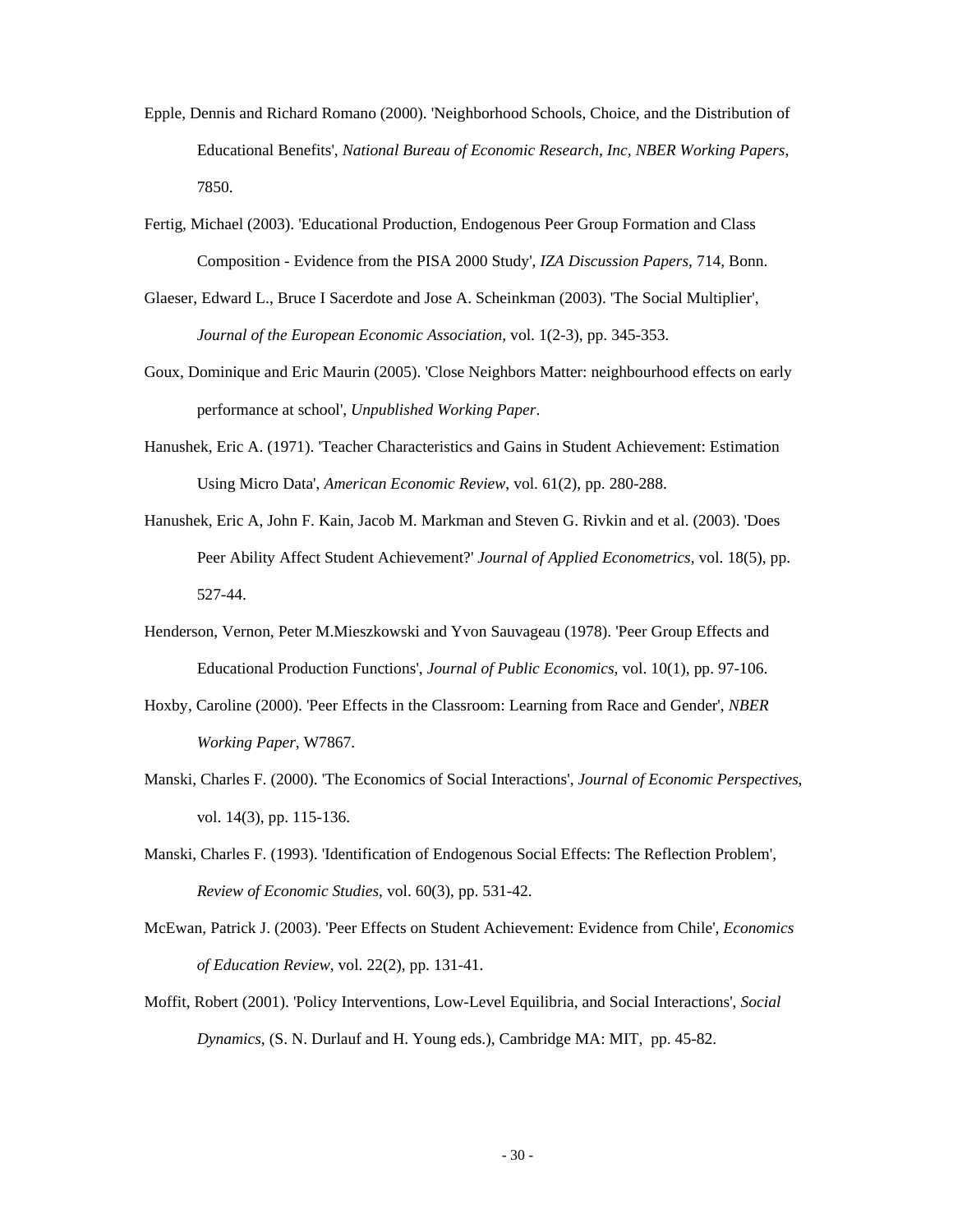- Epple, Dennis and Richard Romano (2000). 'Neighborhood Schools, Choice, and the Distribution of Educational Benefits', *National Bureau of Economic Research, Inc, NBER Working Papers*, 7850.
- Fertig, Michael (2003). 'Educational Production, Endogenous Peer Group Formation and Class Composition - Evidence from the PISA 2000 Study', *IZA Discussion Papers*, 714, Bonn.
- Glaeser, Edward L., Bruce I Sacerdote and Jose A. Scheinkman (2003). 'The Social Multiplier', *Journal of the European Economic Association*, vol. 1(2-3), pp. 345-353.
- Goux, Dominique and Eric Maurin (2005). 'Close Neighbors Matter: neighbourhood effects on early performance at school', *Unpublished Working Paper*.
- Hanushek, Eric A. (1971). 'Teacher Characteristics and Gains in Student Achievement: Estimation Using Micro Data', *American Economic Review*, vol. 61(2), pp. 280-288.
- Hanushek, Eric A, John F. Kain, Jacob M. Markman and Steven G. Rivkin and et al. (2003). 'Does Peer Ability Affect Student Achievement?' *Journal of Applied Econometrics*, vol. 18(5), pp. 527-44.
- Henderson, Vernon, Peter M.Mieszkowski and Yvon Sauvageau (1978). 'Peer Group Effects and Educational Production Functions', *Journal of Public Economics*, vol. 10(1), pp. 97-106.
- Hoxby, Caroline (2000). 'Peer Effects in the Classroom: Learning from Race and Gender', *NBER Working Paper*, W7867.
- Manski, Charles F. (2000). 'The Economics of Social Interactions', *Journal of Economic Perspectives*, vol. 14(3), pp. 115-136.
- Manski, Charles F. (1993). 'Identification of Endogenous Social Effects: The Reflection Problem', *Review of Economic Studies*, vol. 60(3), pp. 531-42.
- McEwan, Patrick J. (2003). 'Peer Effects on Student Achievement: Evidence from Chile', *Economics of Education Review*, vol. 22(2), pp. 131-41.
- Moffit, Robert (2001). 'Policy Interventions, Low-Level Equilibria, and Social Interactions', *Social Dynamics*, (S. N. Durlauf and H. Young eds.), Cambridge MA: MIT,pp. 45-82.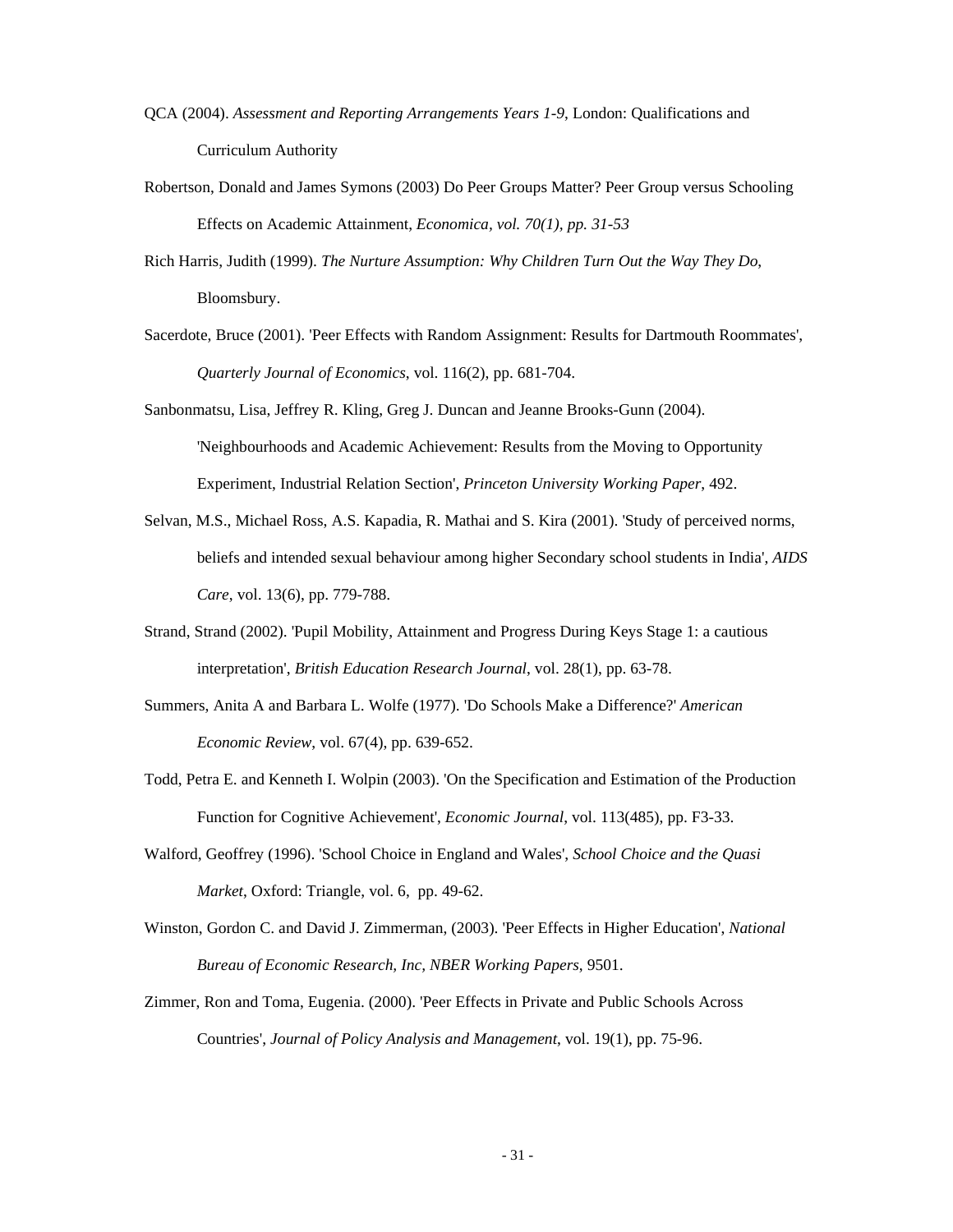- QCA (2004). *Assessment and Reporting Arrangements Years 1-9*, London: Qualifications and Curriculum Authority
- Robertson, Donald and James Symons (2003) Do Peer Groups Matter? Peer Group versus Schooling Effects on Academic Attainment, *Economica, vol. 70(1), pp. 31-53*
- Rich Harris, Judith (1999). *The Nurture Assumption: Why Children Turn Out the Way They Do*, Bloomsbury.
- Sacerdote, Bruce (2001). 'Peer Effects with Random Assignment: Results for Dartmouth Roommates', *Quarterly Journal of Economics*, vol. 116(2), pp. 681-704.
- Sanbonmatsu, Lisa, Jeffrey R. Kling, Greg J. Duncan and Jeanne Brooks-Gunn (2004). 'Neighbourhoods and Academic Achievement: Results from the Moving to Opportunity Experiment, Industrial Relation Section', *Princeton University Working Paper*, 492.
- Selvan, M.S., Michael Ross, A.S. Kapadia, R. Mathai and S. Kira (2001). 'Study of perceived norms, beliefs and intended sexual behaviour among higher Secondary school students in India', *AIDS Care*, vol. 13(6), pp. 779-788.
- Strand, Strand (2002). 'Pupil Mobility, Attainment and Progress During Keys Stage 1: a cautious interpretation', *British Education Research Journal*, vol. 28(1), pp. 63-78.
- Summers, Anita A and Barbara L. Wolfe (1977). 'Do Schools Make a Difference?' *American Economic Review*, vol. 67(4), pp. 639-652.
- Todd, Petra E. and Kenneth I. Wolpin (2003). 'On the Specification and Estimation of the Production Function for Cognitive Achievement', *Economic Journal*, vol. 113(485), pp. F3-33.
- Walford, Geoffrey (1996). 'School Choice in England and Wales', *School Choice and the Quasi Market*, Oxford: Triangle, vol. 6,pp. 49-62.
- Winston, Gordon C. and David J. Zimmerman, (2003). 'Peer Effects in Higher Education', *National Bureau of Economic Research, Inc, NBER Working Papers*, 9501.
- Zimmer, Ron and Toma, Eugenia. (2000). 'Peer Effects in Private and Public Schools Across Countries', *Journal of Policy Analysis and Management*, vol. 19(1), pp. 75-96.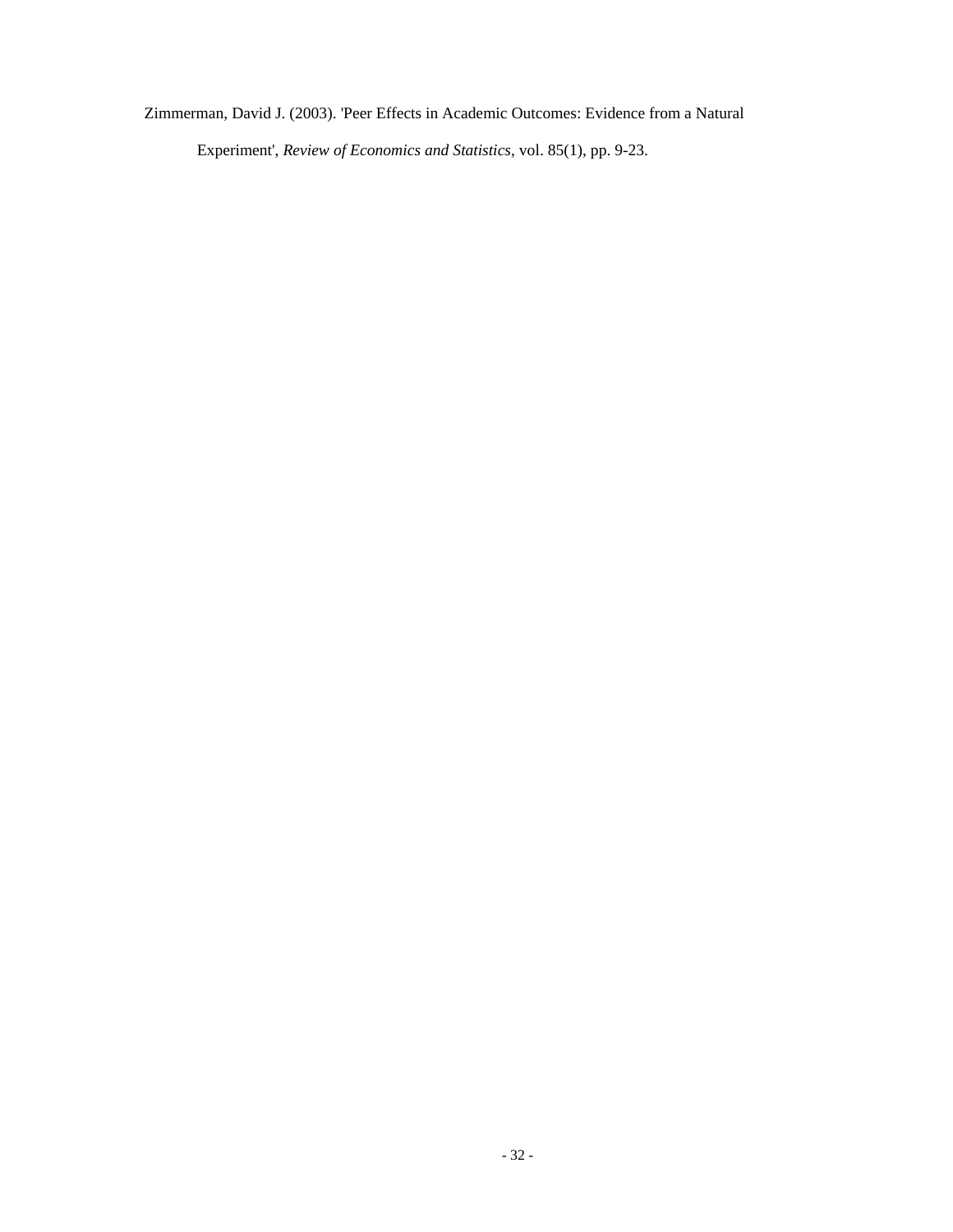Zimmerman, David J. (2003). 'Peer Effects in Academic Outcomes: Evidence from a Natural

Experiment', *Review of Economics and Statistics*, vol. 85(1), pp. 9-23.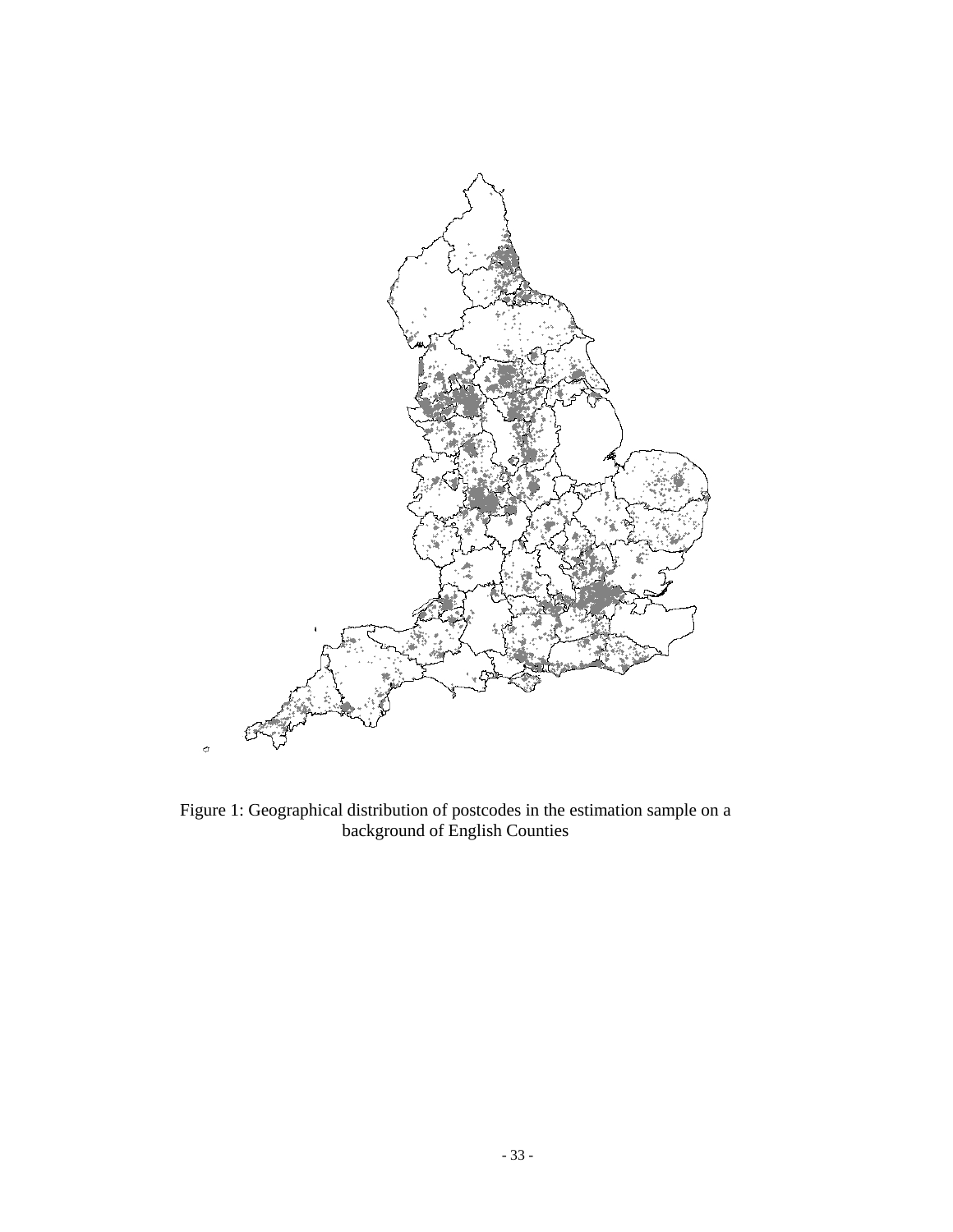

Figure 1: Geographical distribution of postcodes in the estimation sample on a background of English Counties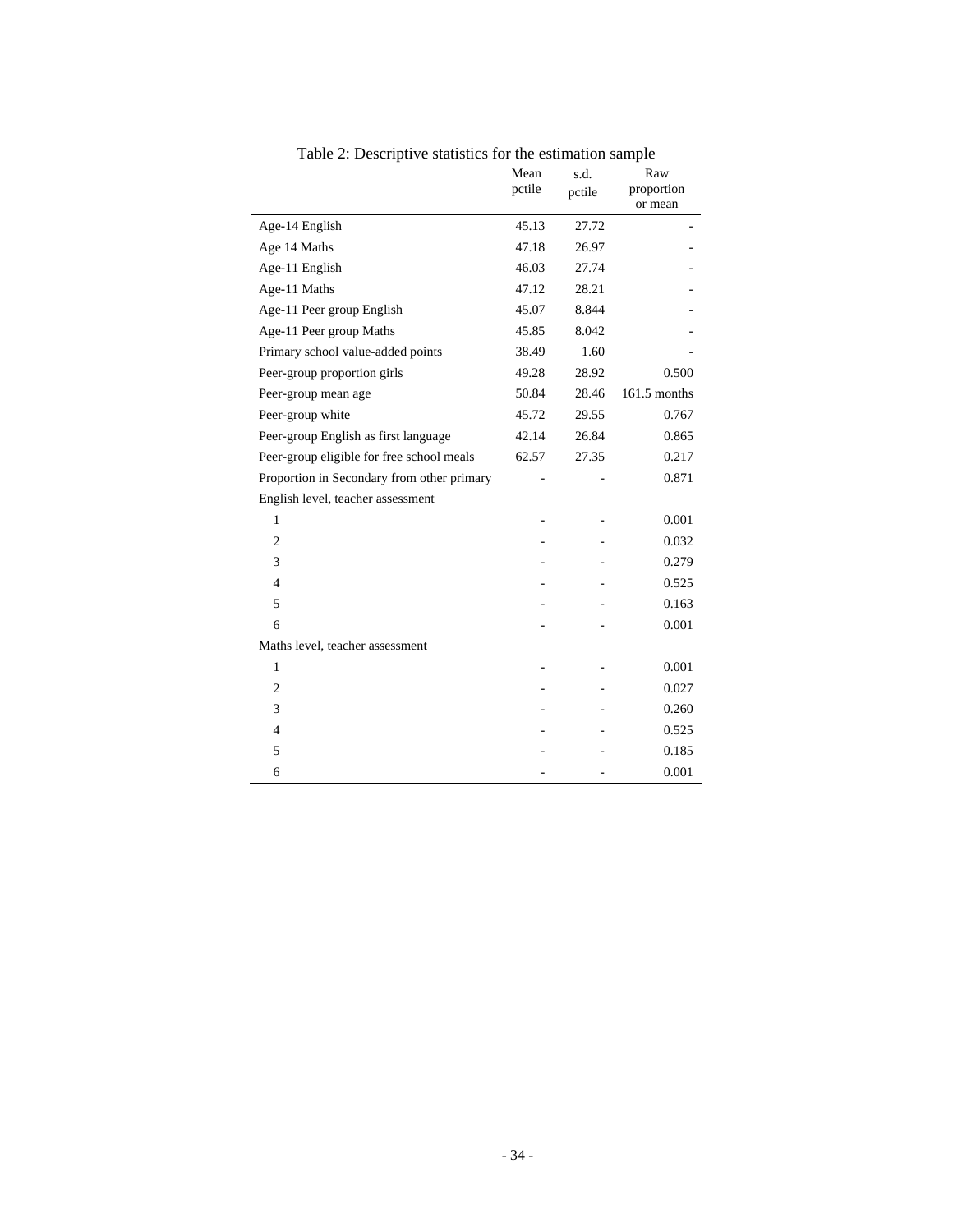|                                            | Mean   | s.d.   | Raw                   |
|--------------------------------------------|--------|--------|-----------------------|
|                                            | pctile | pctile | proportion<br>or mean |
| Age-14 English                             | 45.13  | 27.72  |                       |
| Age 14 Maths                               | 47.18  | 26.97  |                       |
| Age-11 English                             | 46.03  | 27.74  |                       |
| Age-11 Maths                               | 47.12  | 28.21  |                       |
|                                            |        |        |                       |
| Age-11 Peer group English                  | 45.07  | 8.844  |                       |
| Age-11 Peer group Maths                    | 45.85  | 8.042  |                       |
| Primary school value-added points          | 38.49  | 1.60   |                       |
| Peer-group proportion girls                | 49.28  | 28.92  | 0.500                 |
| Peer-group mean age                        | 50.84  | 28.46  | 161.5 months          |
| Peer-group white                           | 45.72  | 29.55  | 0.767                 |
| Peer-group English as first language       | 42.14  | 26.84  | 0.865                 |
| Peer-group eligible for free school meals  | 62.57  | 27.35  | 0.217                 |
| Proportion in Secondary from other primary |        |        | 0.871                 |
| English level, teacher assessment          |        |        |                       |
| 1                                          |        |        | 0.001                 |
| $\overline{c}$                             |        |        | 0.032                 |
| 3                                          |        |        | 0.279                 |
| $\overline{4}$                             |        |        | 0.525                 |
| 5                                          |        |        | 0.163                 |
| 6                                          |        |        | 0.001                 |
| Maths level, teacher assessment            |        |        |                       |
| $\mathbf{1}$                               |        |        | 0.001                 |
| $\overline{c}$                             |        |        | 0.027                 |
| 3                                          |        |        | 0.260                 |
| $\overline{4}$                             |        |        | 0.525                 |
| 5                                          |        |        | 0.185                 |
| 6                                          |        |        | 0.001                 |

Table 2: Descriptive statistics for the estimation sample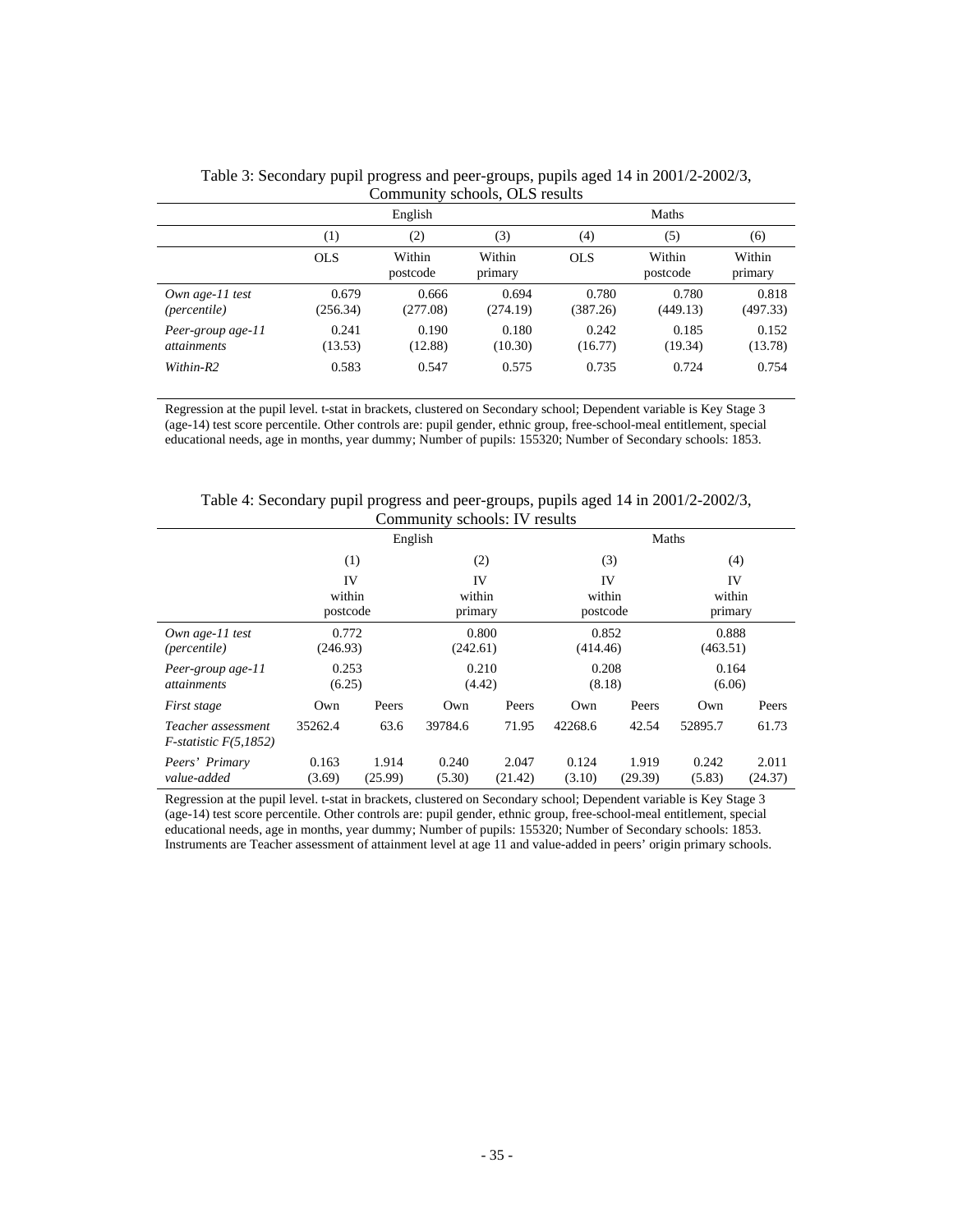|                                         | $\sim$ $\sim$ $\sim$ $\sim$ $\sim$ $\sim$ $\sim$ $\sim$<br>$5010010$ , OLD $100010$<br>English |                    |                   | Maths             |                    |                   |
|-----------------------------------------|------------------------------------------------------------------------------------------------|--------------------|-------------------|-------------------|--------------------|-------------------|
|                                         | $\left(1\right)$                                                                               | (2)                | (3)               | $\left(4\right)$  | (5)                | (6)               |
|                                         | <b>OLS</b>                                                                                     | Within<br>postcode | Within<br>primary | <b>OLS</b>        | Within<br>postcode | Within<br>primary |
| Own age- $11$ test<br>(percentile)      | 0.679<br>(256.34)                                                                              | 0.666<br>(277.08)  | 0.694<br>(274.19) | 0.780<br>(387.26) | 0.780<br>(449.13)  | 0.818<br>(497.33) |
| Peer-group age-11<br><i>attainments</i> | 0.241<br>(13.53)                                                                               | 0.190<br>(12.88)   | 0.180<br>(10.30)  | 0.242<br>(16.77)  | 0.185<br>(19.34)   | 0.152<br>(13.78)  |
| Within-R2                               | 0.583                                                                                          | 0.547              | 0.575             | 0.735             | 0.724              | 0.754             |

Table 3: Secondary pupil progress and peer-groups, pupils aged 14 in 2001/2-2002/3, Community schools, OLS results

Regression at the pupil level. t-stat in brackets, clustered on Secondary school; Dependent variable is Key Stage 3 (age-14) test score percentile. Other controls are: pupil gender, ethnic group, free-school-meal entitlement, special educational needs, age in months, year dummy; Number of pupils: 155320; Number of Secondary schools: 1853.

|                                                  | English            |                  |                         |                  | Maths                    |                  |                         |                  |
|--------------------------------------------------|--------------------|------------------|-------------------------|------------------|--------------------------|------------------|-------------------------|------------------|
|                                                  |                    | (1)              | (2)                     |                  | (3)                      |                  | (4)                     |                  |
|                                                  | within<br>postcode | IV               | IV<br>within<br>primary |                  | IV<br>within<br>postcode |                  | IV<br>within<br>primary |                  |
| Own age- $11$ test<br><i>(percentile)</i>        | 0.772<br>(246.93)  |                  | 0.800<br>(242.61)       |                  | 0.852<br>(414.46)        |                  | 0.888<br>(463.51)       |                  |
| Peer-group age-11<br><i>attainments</i>          | 0.253<br>(6.25)    |                  | 0.210<br>(4.42)         |                  | 0.208<br>(8.18)          |                  | 0.164<br>(6.06)         |                  |
| First stage                                      | Own                | Peers            | Own                     | Peers            | Own                      | Peers            | Own                     | Peers            |
| Teacher assessment<br>$F$ -statistic $F(5,1852)$ | 35262.4            | 63.6             | 39784.6                 | 71.95            | 42268.6                  | 42.54            | 52895.7                 | 61.73            |
| Peers' Primary<br>value-added                    | 0.163<br>(3.69)    | 1.914<br>(25.99) | 0.240<br>(5.30)         | 2.047<br>(21.42) | 0.124<br>(3.10)          | 1.919<br>(29.39) | 0.242<br>(5.83)         | 2.011<br>(24.37) |

Table 4: Secondary pupil progress and peer-groups, pupils aged 14 in 2001/2-2002/3, Community schools: IV results

Regression at the pupil level. t-stat in brackets, clustered on Secondary school; Dependent variable is Key Stage 3 (age-14) test score percentile. Other controls are: pupil gender, ethnic group, free-school-meal entitlement, special educational needs, age in months, year dummy; Number of pupils: 155320; Number of Secondary schools: 1853. Instruments are Teacher assessment of attainment level at age 11 and value-added in peers' origin primary schools.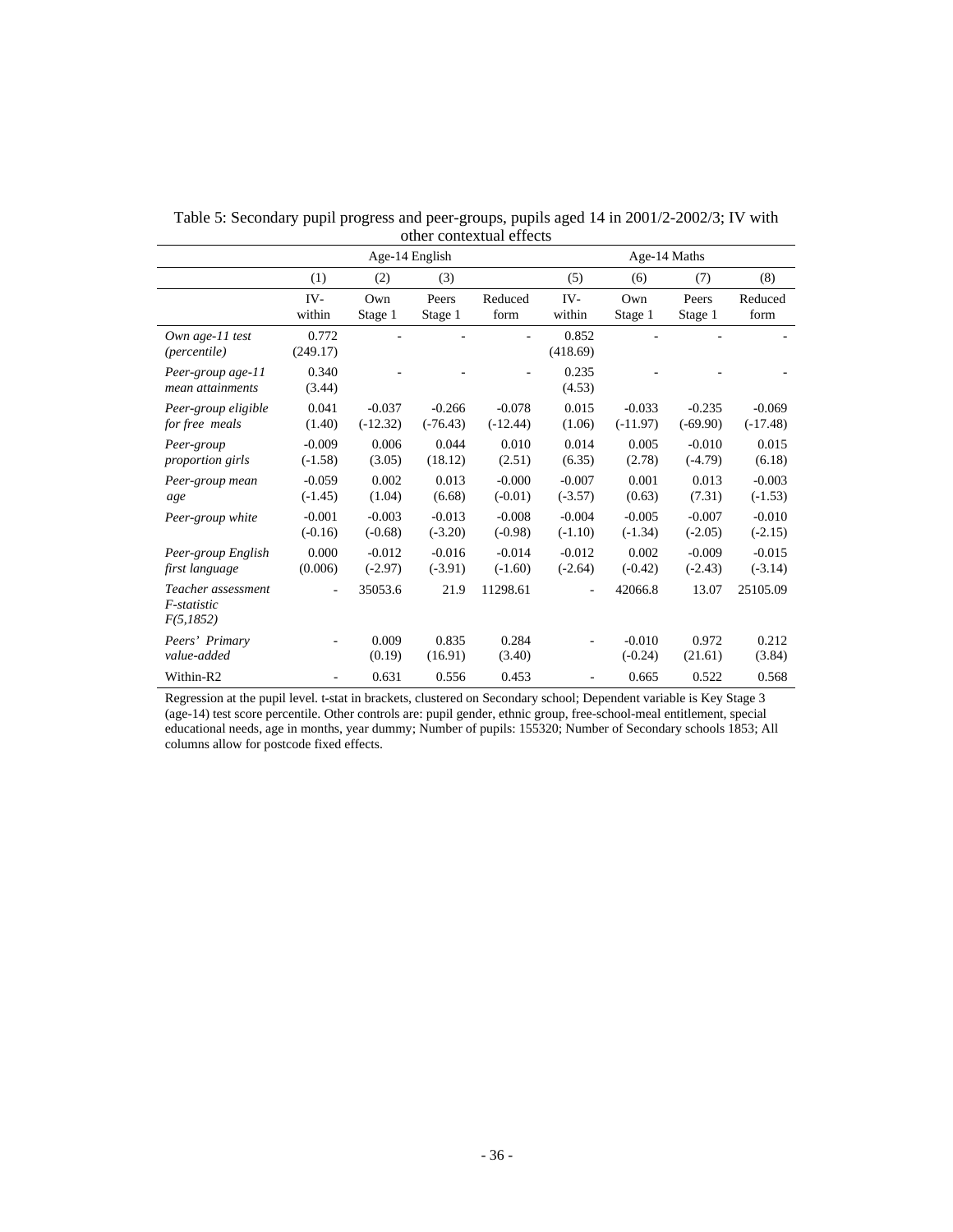|                                                | Age-14 English        |                        |                        |                        | Age-14 Maths          |                        |                        |                        |
|------------------------------------------------|-----------------------|------------------------|------------------------|------------------------|-----------------------|------------------------|------------------------|------------------------|
|                                                | (1)                   | (2)                    | (3)                    |                        | (5)                   | (6)                    | (7)                    | (8)                    |
|                                                | IV-<br>within         | $Qw$ n<br>Stage 1      | Peers<br>Stage 1       | Reduced<br>form        | IV-<br>within         | Own<br>Stage 1         | Peers<br>Stage 1       | Reduced<br>form        |
| Own age-11 test<br><i>(percentile)</i>         | 0.772<br>(249.17)     |                        |                        |                        | 0.852<br>(418.69)     |                        |                        |                        |
| Peer-group age-11<br>mean attainments          | 0.340<br>(3.44)       |                        |                        |                        | 0.235<br>(4.53)       |                        |                        |                        |
| Peer-group eligible<br>for free meals          | 0.041<br>(1.40)       | $-0.037$<br>$(-12.32)$ | $-0.266$<br>$(-76.43)$ | $-0.078$<br>$(-12.44)$ | 0.015<br>(1.06)       | $-0.033$<br>$(-11.97)$ | $-0.235$<br>$(-69.90)$ | $-0.069$<br>$(-17.48)$ |
| Peer-group<br><i>proportion girls</i>          | $-0.009$<br>$(-1.58)$ | 0.006<br>(3.05)        | 0.044<br>(18.12)       | 0.010<br>(2.51)        | 0.014<br>(6.35)       | 0.005<br>(2.78)        | $-0.010$<br>$(-4.79)$  | 0.015<br>(6.18)        |
| Peer-group mean<br>age                         | $-0.059$<br>$(-1.45)$ | 0.002<br>(1.04)        | 0.013<br>(6.68)        | $-0.000$<br>$(-0.01)$  | $-0.007$<br>$(-3.57)$ | 0.001<br>(0.63)        | 0.013<br>(7.31)        | $-0.003$<br>$(-1.53)$  |
| Peer-group white                               | $-0.001$<br>$(-0.16)$ | $-0.003$<br>$(-0.68)$  | $-0.013$<br>$(-3.20)$  | $-0.008$<br>$(-0.98)$  | $-0.004$<br>$(-1.10)$ | $-0.005$<br>$(-1.34)$  | $-0.007$<br>$(-2.05)$  | $-0.010$<br>$(-2.15)$  |
| Peer-group English<br>first language           | 0.000<br>(0.006)      | $-0.012$<br>$(-2.97)$  | $-0.016$<br>$(-3.91)$  | $-0.014$<br>$(-1.60)$  | $-0.012$<br>$(-2.64)$ | 0.002<br>$(-0.42)$     | $-0.009$<br>$(-2.43)$  | $-0.015$<br>$(-3.14)$  |
| Teacher assessment<br>F-statistic<br>F(5,1852) | ۰                     | 35053.6                | 21.9                   | 11298.61               | ٠                     | 42066.8                | 13.07                  | 25105.09               |
| Peers' Primary<br>value-added                  |                       | 0.009<br>(0.19)        | 0.835<br>(16.91)       | 0.284<br>(3.40)        |                       | $-0.010$<br>$(-0.24)$  | 0.972<br>(21.61)       | 0.212<br>(3.84)        |
| Within-R2                                      |                       | 0.631                  | 0.556                  | 0.453                  |                       | 0.665                  | 0.522                  | 0.568                  |

Table 5: Secondary pupil progress and peer-groups, pupils aged 14 in 2001/2-2002/3; IV with other contextual effects

Regression at the pupil level. t-stat in brackets, clustered on Secondary school; Dependent variable is Key Stage 3 (age-14) test score percentile. Other controls are: pupil gender, ethnic group, free-school-meal entitlement, special educational needs, age in months, year dummy; Number of pupils: 155320; Number of Secondary schools 1853; All columns allow for postcode fixed effects.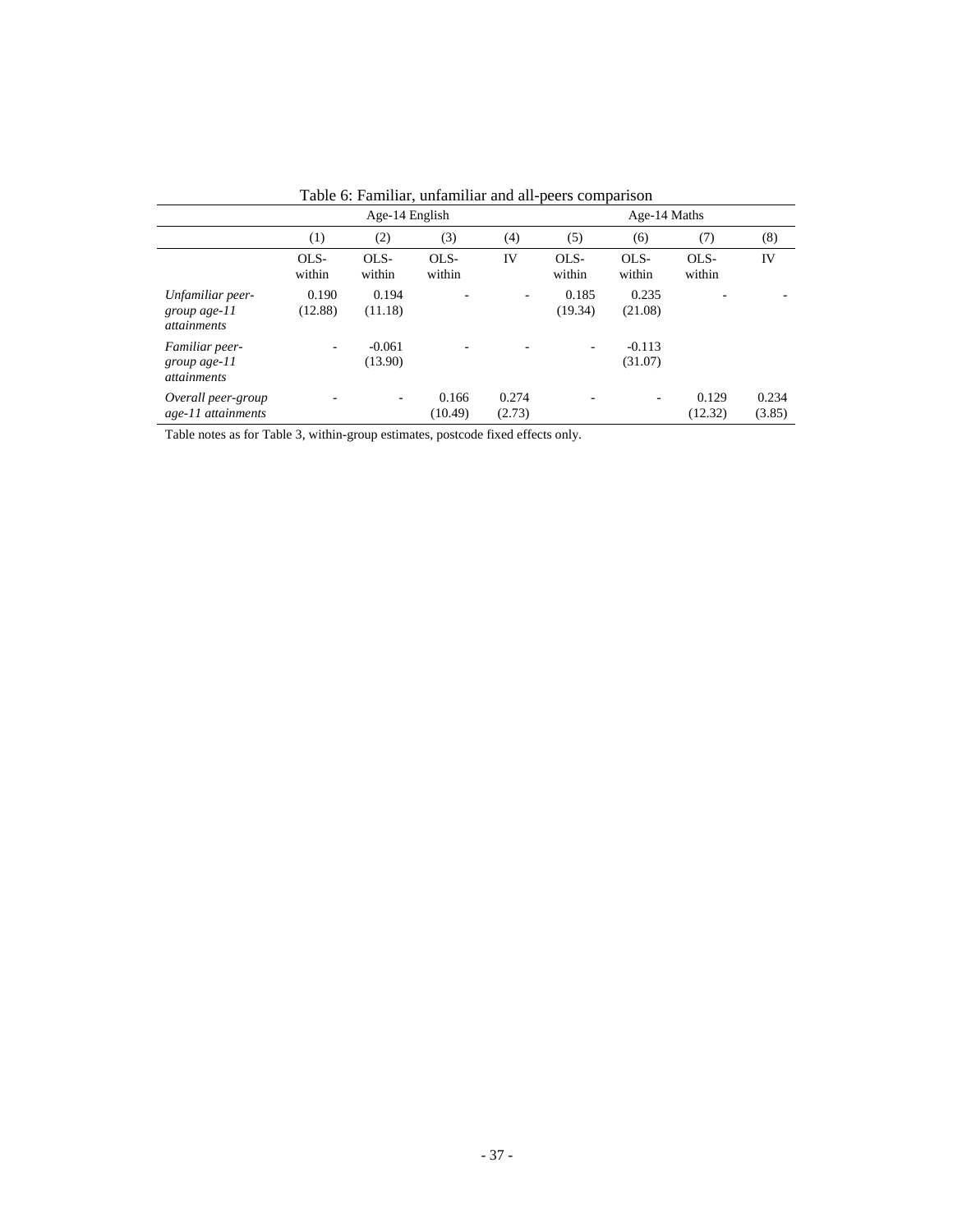|                                                           | Age-14 English   |                     |                  |                          | Age-14 Maths             |                     |                  |                 |
|-----------------------------------------------------------|------------------|---------------------|------------------|--------------------------|--------------------------|---------------------|------------------|-----------------|
|                                                           | (1)              | (2)                 | (3)              | (4)                      | (5)                      | (6)                 | (7)              | (8)             |
|                                                           | OLS-<br>within   | OLS-<br>within      | $OLS-$<br>within | IV                       | OLS-<br>within           | OLS-<br>within      | OLS-<br>within   | IV              |
| Unfamiliar peer-<br>group age- $11$<br><i>attainments</i> | 0.190<br>(12.88) | 0.194<br>(11.18)    |                  | $\overline{\phantom{a}}$ | 0.185<br>(19.34)         | 0.235<br>(21.08)    |                  |                 |
| Familiar peer-<br>group age- $11$<br><i>attainments</i>   | ٠                | $-0.061$<br>(13.90) | ٠                |                          | $\overline{\phantom{a}}$ | $-0.113$<br>(31.07) |                  |                 |
| Overall peer-group<br>age-11 attainments                  |                  | ٠                   | 0.166<br>(10.49) | 0.274<br>(2.73)          |                          |                     | 0.129<br>(12.32) | 0.234<br>(3.85) |

Table 6: Familiar, unfamiliar and all-peers comparison

Table notes as for Table 3, within-group estimates, postcode fixed effects only.